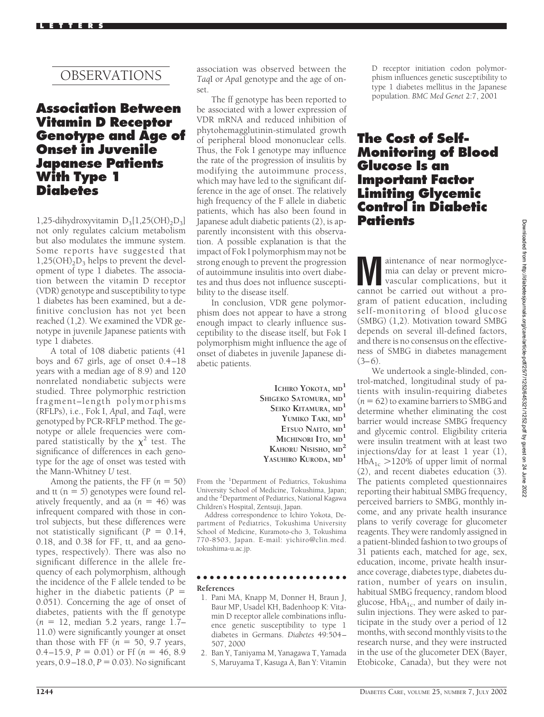# OBSERVATIONS

### **Association Between Vitamin D Receptor Genotype and Age of Onset in Juvenile Japanese Patients With Type 1 Diabetes**

1,25-dihydroxyvitamin  $D_3[1,25(OH)_2D_3]$ not only regulates calcium metabolism but also modulates the immune system. Some reports have suggested that  $1,25(OH)_{2}D_{3}$  helps to prevent the development of type 1 diabetes. The association between the vitamin D receptor (VDR) genotype and susceptibility to type 1 diabetes has been examined, but a definitive conclusion has not yet been reached (1,2). We examined the VDR genotype in juvenile Japanese patients with type 1 diabetes.

A total of 108 diabetic patients (41 boys and 67 girls, age of onset 0.4–18 years with a median age of 8.9) and 120 nonrelated nondiabetic subjects were studied. Three polymorphic restriction fragment–length polymorphisms (RFLPs), i.e., Fok I, *Apa*I, and *Taq*I, were genotyped by PCR-RFLP method. The genotype or allele frequencies were compared statistically by the  $\chi^2$  test. The significance of differences in each genotype for the age of onset was tested with the Mann-Whitney *U* test.

Among the patients, the FF  $(n = 50)$ and tt  $(n = 5)$  genotypes were found relatively frequently, and aa  $(n = 46)$  was infrequent compared with those in control subjects, but these differences were not statistically significant  $(P = 0.14,$ 0.18, and 0.38 for FF, tt, and aa genotypes, respectively). There was also no significant difference in the allele frequency of each polymorphism, although the incidence of the F allele tended to be higher in the diabetic patients  $(P =$ 0.051). Concerning the age of onset of diabetes, patients with the ff genotype  $(n = 12, \text{ median } 5.2 \text{ years}, \text{ range } 1.7-$ 11.0) were significantly younger at onset than those with FF  $(n = 50, 9.7 \text{ years},$  $0.4-15.9$ ,  $P = 0.01$ ) or Ff ( $n = 46, 8.9$  $years, 0.9-18.0, P = 0.03$ ). No significant

association was observed between the *Taq*I or *Apa*I genotype and the age of onset.

The ff genotype has been reported to be associated with a lower expression of VDR mRNA and reduced inhibition of phytohemagglutinin-stimulated growth of peripheral blood mononuclear cells. Thus, the Fok I genotype may influence the rate of the progression of insulitis by modifying the autoimmune process, which may have led to the significant difference in the age of onset. The relatively high frequency of the F allele in diabetic patients, which has also been found in Japanese adult diabetic patients (2), is apparently inconsistent with this observation. A possible explanation is that the impact of Fok I polymorphism may not be strong enough to prevent the progression of autoimmune insulitis into overt diabetes and thus does not influence susceptibility to the disease itself.

In conclusion, VDR gene polymorphism does not appear to have a strong enough impact to clearly influence susceptibility to the disease itself, but Fok I polymorphism might influence the age of onset of diabetes in juvenile Japanese diabetic patients.

> **ICHIRO YOKOTA, MD<sup>1</sup> SHIGEKO SATOMURA, MD<sup>1</sup> SEIKO KITAMURA, MD<sup>1</sup> YUMIKO TAKI, MD<sup>1</sup> ETSUO NAITO, MD<sup>1</sup> MICHINORI ITO, MD<sup>1</sup> KAHORU NISISHO, MD<sup>2</sup> YASUHIRO KURODA, MD<sup>1</sup>**

From the <sup>1</sup>Department of Pediatrics, Tokushima University School of Medicine, Tokushima, Japan; and the <sup>2</sup>Department of Pediatrics, National Kagawa Children's Hospital, Zentsuji, Japan.

Address correspondence to Ichiro Yokota, Department of Pediatrics, Tokushima University School of Medicine, Kuramoto-cho 3, Tokushima 770-8503, Japan. E-mail: yichiro@clin.med. tokushima-u.ac.jp.

#### ●●●●●●●●●●●●●●●●●●●●●●● **References**

- 1. Pani MA, Knapp M, Donner H, Braun J, Baur MP, Usadel KH, Badenhoop K: Vitamin D receptor allele combinations influence genetic susceptibility to type 1 diabetes in Germans. *Diabetes* 49:504– 507, 2000
- 2. Ban Y, Taniyama M, Yanagawa T, Yamada S, Maruyama T, Kasuga A, Ban Y: Vitamin

D receptor initiation codon polymorphism influences genetic susceptibility to type 1 diabetes mellitus in the Japanese population. *BMC Med Genet* 2:7, 2001

### **The Cost of Self-Monitoring of Blood Glucose Is an Important Factor Limiting Glycemic Control in Diabetic Patients**

**Maintenance of near normoglyce-**<br>
vascular complications, but it<br>
cannot be carried out without a promia can delay or prevent microcannot be carried out without a program of patient education, including self-monitoring of blood glucose (SMBG) (1,2). Motivation toward SMBG depends on several ill-defined factors, and there is no consensus on the effectiveness of SMBG in diabetes management  $(3-6)$ .

We undertook a single-blinded, control-matched, longitudinal study of patients with insulin-requiring diabetes  $(n = 62)$  to examine barriers to SMBG and determine whether eliminating the cost barrier would increase SMBG frequency and glycemic control. Eligibility criteria were insulin treatment with at least two injections/day for at least 1 year (1),  $HbA_{1c} > 120\%$  of upper limit of normal (2), and recent diabetes education (3). The patients completed questionnaires reporting their habitual SMBG frequency, perceived barriers to SMBG, monthly income, and any private health insurance plans to verify coverage for glucometer reagents. They were randomly assigned in a patient-blinded fashion to two groups of 31 patients each, matched for age, sex, education, income, private health insurance coverage, diabetes type, diabetes duration, number of years on insulin, habitual SMBG frequency, random blood glucose,  $HbA_{1c}$ , and number of daily insulin injections. They were asked to participate in the study over a period of 12 months, with second monthly visits to the research nurse, and they were instructed in the use of the glucometer DEX (Bayer, Etobicoke, Canada), but they were not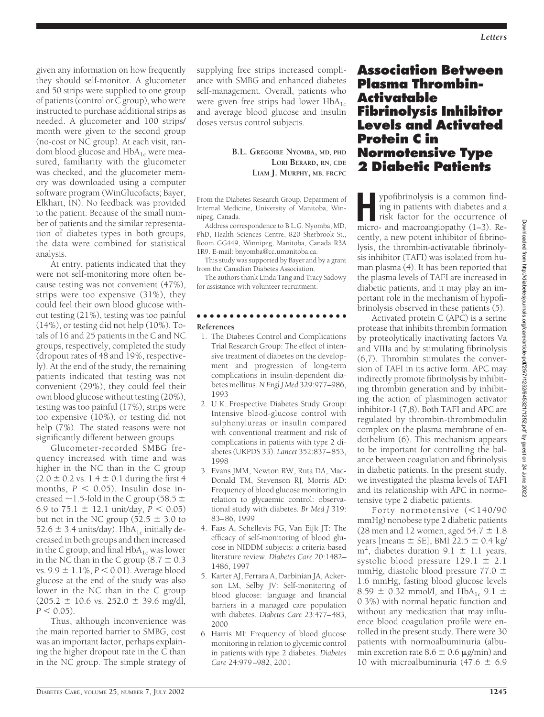given any information on how frequently they should self-monitor. A glucometer and 50 strips were supplied to one group of patients (control or C group), who were instructed to purchase additional strips as needed. A glucometer and 100 strips/ month were given to the second group (no-cost or NC group). At each visit, random blood glucose and  $HbA_{1c}$  were measured, familiarity with the glucometer was checked, and the glucometer memory was downloaded using a computer software program (WinGlucofacts; Bayer, Elkhart, IN). No feedback was provided to the patient. Because of the small number of patients and the similar representation of diabetes types in both groups, the data were combined for statistical analysis.

At entry, patients indicated that they were not self-monitoring more often because testing was not convenient (47%), strips were too expensive (31%), they could feel their own blood glucose without testing (21%), testing was too painful (14%), or testing did not help (10%). Totals of 16 and 25 patients in the C and NC groups, respectively, completed the study (dropout rates of 48 and 19%, respectively). At the end of the study, the remaining patients indicated that testing was not convenient (29%), they could feel their own blood glucose without testing (20%), testing was too painful (17%), strips were too expensive (10%), or testing did not help (7%). The stated reasons were not significantly different between groups.

Glucometer-recorded SMBG frequency increased with time and was higher in the NC than in the C group  $(2.0 \pm 0.2 \text{ vs. } 1.4 \pm 0.1 \text{ during the first } 4)$ months,  $P < 0.05$ ). Insulin dose increased  $\sim$  1.5-fold in the C group (58.5  $\pm$ 6.9 to  $75.1 \pm 12.1$  unit/day,  $P < 0.05$ ) but not in the NC group (52.5  $\pm$  3.0 to 52.6  $\pm$  3.4 units/day). HbA<sub>1c</sub> initially decreased in both groups and then increased in the C group, and final  $HbA_{1c}$  was lower in the NC than in the C group  $(8.7 \pm 0.3)$ vs.  $9.9 \pm 1.1\%$ ,  $P < 0.01$ ). Average blood glucose at the end of the study was also lower in the NC than in the C group  $(205.2 \pm 10.6 \text{ vs. } 252.0 \pm 39.6 \text{ mg/dl},$  $P < 0.05$ ).

Thus, although inconvenience was the main reported barrier to SMBG, cost was an important factor, perhaps explaining the higher dropout rate in the C than in the NC group. The simple strategy of

supplying free strips increased compliance with SMBG and enhanced diabetes self-management. Overall, patients who were given free strips had lower  $HbA_{1c}$ and average blood glucose and insulin doses versus control subjects.

> **B.L. GREGOIRE NYOMBA, MD, PHD LORI BERARD, RN, CDE LIAM J. MURPHY, MB, FRCPC**

From the Diabetes Research Group, Department of Internal Medicine, University of Manitoba, Winnipeg, Canada.

Address correspondence to B.L.G. Nyomba, MD, PhD, Health Sciences Centre, 820 Sherbrook St., Room GG449, Winnipeg, Manitoba, Canada R3A 1R9. E-mail: bnyomba@cc.umanitoba.ca.

This study was supported by Bayer and by a grant from the Canadian Diabetes Association.

The authors thank Linda Tang and Tracy Sadowy for assistance with volunteer recruitment.

### ●●●●●●●●●●●●●●●●●●●●●●●

#### **References**

- 1. The Diabetes Control and Complications Trial Research Group: The effect of intensive treatment of diabetes on the development and progression of long-term complications in insulin-dependent diabetes mellitus.*N Engl J Med* 329:977–986, 1993
- 2. U.K. Prospective Diabetes Study Group: Intensive blood-glucose control with sulphonylureas or insulin compared with conventional treatment and risk of complications in patients with type 2 diabetes (UKPDS 33). *Lancet* 352:837–853, 1998
- 3. Evans JMM, Newton RW, Ruta DA, Mac-Donald TM, Stevenson RJ, Morris AD: Frequency of blood glucose monitoring in relation to glycaemic control: observational study with diabetes. *Br Med J* 319: 83–86, 1999
- 4. Faas A, Schellevis FG, Van Eijk JT: The efficacy of self-monitoring of blood glucose in NIDDM subjects: a criteria-based literature review. *Diabetes Care* 20:1482– 1486, 1997
- 5. Karter AJ, Ferrara A, Darbinian JA, Ackerson LM, Selby JV: Self-monitoring of blood glucose: language and financial barriers in a managed care population with diabetes. *Diabetes Care* 23:477–483, 2000
- 6. Harris MI: Frequency of blood glucose monitoring in relation to glycemic control in patients with type 2 diabetes. *Diabetes Care* 24:979–982, 2001

### **Association Between Plasma Thrombin-Activatable Fibrinolysis Inhibitor Levels and Activated Protein C in Normotensive Type 2 Diabetic Patients**

**H**ypofibrinolysis is a common finding in patients with diabetes and a risk factor for the occurrence of micro- and macroangiopathy (1–3). Recently, a new potent inhibitor of fibrinolysis, the thrombin-activatable fibrinolysis inhibitor (TAFI) was isolated from human plasma (4). It has been reported that the plasma levels of TAFI are increased in diabetic patients, and it may play an important role in the mechanism of hypofibrinolysis observed in these patients (5).

Activated protein C (APC) is a serine protease that inhibits thrombin formation by proteolytically inactivating factors Va and VIIIa and by stimulating fibrinolysis (6,7). Thrombin stimulates the conversion of TAFI in its active form. APC may indirectly promote fibrinolysis by inhibiting thrombin generation and by inhibiting the action of plasminogen activator inhibitor-1 (7,8). Both TAFI and APC are regulated by thrombin-thrombmodulin complex on the plasma membrane of endothelium (6). This mechanism appears to be important for controlling the balance between coagulation and fibrinolysis in diabetic patients. In the present study, we investigated the plasma levels of TAFI and its relationship with APC in normotensive type 2 diabetic patients.

Forty normotensive  $(140/90)$ mmHg) nonobese type 2 diabetic patients (28 men and 12 women, aged  $54.7 \pm 1.8$ ) years [means  $\pm$  SE], BMI 22.5  $\pm$  0.4 kg/  $m^2$ , diabetes duration 9.1  $\pm$  1.1 years, systolic blood pressure  $129.1 \pm 2.1$ mmHg, diastolic blood pressure  $77.0 \pm$ 1.6 mmHg, fasting blood glucose levels 8.59  $\pm$  0.32 mmol/l, and HbA<sub>1c</sub> 9.1  $\pm$ 0.3%) with normal hepatic function and without any medication that may influence blood coagulation profile were enrolled in the present study. There were 30 patients with normoalbuminuria (albumin excretion rate  $8.6 \pm 0.6$   $\mu$ g/min) and 10 with microalbuminuria  $(47.6 \pm 6.9)$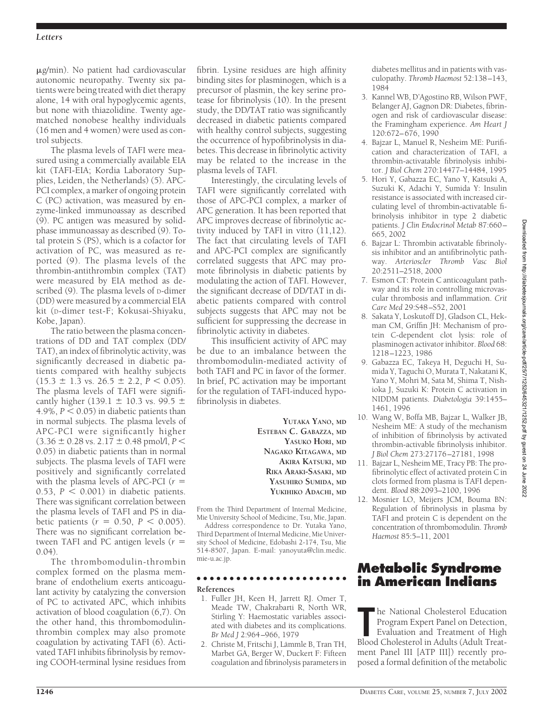g/min). No patient had cardiovascular autonomic neuropathy. Twenty six patients were being treated with diet therapy alone, 14 with oral hypoglycemic agents, but none with thiazolidine. Twenty agematched nonobese healthy individuals (16 men and 4 women) were used as control subjects.

The plasma levels of TAFI were measured using a commercially available EIA kit (TAFI-EIA; Kordia Laboratory Supplies, Leiden, the Netherlands) (5). APC-PCI complex, a marker of ongoing protein C (PC) activation, was measured by enzyme-linked immunoassay as described (9). PC antigen was measured by solidphase immunoassay as described (9). Total protein S (PS), which is a cofactor for activation of PC, was measured as reported (9). The plasma levels of the thrombin-antithrombin complex (TAT) were measured by EIA method as described (9). The plasma levels of p-dimer (DD) were measured by a commercial EIA kit (D-dimer test-F; Kokusai-Shiyaku, Kobe, Japan).

The ratio between the plasma concentrations of DD and TAT complex (DD/ TAT), an index of fibrinolytic activity, was significantly decreased in diabetic patients compared with healthy subjects  $(15.3 \pm 1.3 \text{ vs. } 26.5 \pm 2.2, P < 0.05).$ The plasma levels of TAFI were significantly higher (139.1  $\pm$  10.3 vs. 99.5  $\pm$ 4.9%,  $P < 0.05$ ) in diabetic patients than in normal subjects. The plasma levels of APC-PCI were significantly higher  $(3.36 \pm 0.28 \text{ vs. } 2.17 \pm 0.48 \text{ pmol/l}, P <$ 0.05) in diabetic patients than in normal subjects. The plasma levels of TAFI were positively and significantly correlated with the plasma levels of APC-PCI  $(r =$ 0.53,  $P < 0.001$ ) in diabetic patients. There was significant correlation between the plasma levels of TAFI and PS in diabetic patients  $(r = 0.50, P < 0.005)$ . There was no significant correlation between TAFI and PC antigen levels  $(r =$ 0.04).

The thrombomodulin-thrombin complex formed on the plasma membrane of endothelium exerts anticoagulant activity by catalyzing the conversion of PC to activated APC, which inhibits activation of blood coagulation (6,7). On the other hand, this thrombomodulinthrombin complex may also promote coagulation by activating TAFI (6). Activated TAFI inhibits fibrinolysis by removing COOH-terminal lysine residues from

fibrin. Lysine residues are high affinity binding sites for plasminogen, which is a precursor of plasmin, the key serine protease for fibrinolysis (10). In the present study, the DD/TAT ratio was significantly decreased in diabetic patients compared with healthy control subjects, suggesting the occurrence of hypofibrinolysis in diabetes. This decrease in fibrinolytic activity may be related to the increase in the plasma levels of TAFI.

Interestingly, the circulating levels of TAFI were significantly correlated with those of APC-PCI complex, a marker of APC generation. It has been reported that APC improves decrease of fibrinolytic activity induced by TAFI in vitro (11,12). The fact that circulating levels of TAFI and APC-PCI complex are significantly correlated suggests that APC may promote fibrinolysis in diabetic patients by modulating the action of TAFI. However, the significant decrease of DD/TAT in diabetic patients compared with control subjects suggests that APC may not be sufficient for suppressing the decrease in fibrinolytic activity in diabetes.

This insufficient activity of APC may be due to an imbalance between the thrombomodulin-mediated activity of both TAFI and PC in favor of the former. In brief, PC activation may be important for the regulation of TAFI-induced hypofibrinolysis in diabetes.

> **YUTAKA YANO, MD ESTEBAN C. GABAZZA, MD YASUKO HORI, MD NAGAKO KITAGAWA, MD AKIRA KATSUKI, MD RIKA ARAKI-SASAKI, MD YASUHIRO SUMIDA, MD YUKIHIKO ADACHI, MD**

From the Third Department of Internal Medicine, Mie University School of Medicine, Tsu, Mie, Japan. Address correspondence to Dr. Yutaka Yano, Third Department of Internal Medicine, Mie University School of Medicine, Edobashi 2-174, Tsu, Mie 514-8507, Japan. E-mail: yanoyuta@clin.medic.

### ●●●●●●●●●●●●●●●●●●●●●●●

### **References**

mie-u.ac.jp.

- 1. Fuller JH, Keen H, Jarrett RJ. Omer T, Meade TW, Chakrabarti R, North WR, Stirling Y: Haemostatic variables associated with diabetes and its complications. *Br Med J* 2:964–966, 1979
- 2. Christe M, Fritschi J, Lämmle B, Tran TH, Marbet GA, Berger W, Duckert F: Fifteen coagulation and fibrinolysis parameters in

diabetes mellitus and in patients with vasculopathy. *Thromb Haemost* 52:138–143, 1984

- 3. Kannel WB, D'Agostino RB, Wilson PWF, Belanger AJ, Gagnon DR: Diabetes, fibrinogen and risk of cardiovascular disease: the Framingham experience. *Am Heart J* 120:672–676, 1990
- 4. Bajzar L, Manuel R, Nesheim ME: Purification and characterization of TAFI, a thrombin-activatable fibrinolysis inhibitor. *J Biol Chem* 270:14477–14484, 1995
- 5. Hori Y, Gabazza EC, Yano Y, Katsuki A, Suzuki K, Adachi Y, Sumida Y: Insulin resistance is associated with increased circulating level of thrombin-activatable fibrinolysis inhibitor in type 2 diabetic patients. *J Clin Endocrinol Metab* 87:660– 665, 2002
- 6. Bajzar L: Thrombin activatable fibrinolysis inhibitor and an antifibrinolytic pathway. *Arterioscler Thromb Vasc Biol* 20:2511–2518, 2000
- 7. Esmon CT: Protein C anticoagulant pathway and its role in controlling microvascular thrombosis and inflammation. *Crit Care Med* 29:S48–S52, 2001
- 8. Sakata Y, Loskutoff DJ, Gladson CL, Hekman CM, Griffin JH: Mechanism of protein C-dependent clot lysis: role of plasminogen activator inhibitor. *Blood* 68: 1218–1223, 1986
- 9. Gabazza EC, Takeya H, Deguchi H, Sumida Y, Taguchi O, Murata T, Nakatani K, Yano Y, Mohri M, Sata M, Shima T, Nishioka J, Suzuki K: Protein C activation in NIDDM patients. *Diabetologia* 39:1455– 1461, 1996
- 10. Wang W, Boffa MB, Bajzar L, Walker JB, Nesheim ME: A study of the mechanism of inhibition of fibrinolysis by activated thrombin-activable fibrinolysis inhibitor. *J Biol Chem* 273:27176–27181, 1998
- 11. Bajzar L, Nesheim ME, Tracy PB: The profibrinolytic effect of activated protein C in clots formed from plasma is TAFI dependent. *Blood* 88:2093–2100, 1996
- 12. Mosnier LO, Meijers JCM, Bouma BN: Regulation of fibrinolysis in plasma by TAFI and protein C is dependent on the concentration of thrombomodulin. *Thromb Haemost* 85:5–11, 2001

# **Metabolic Syndrome in American Indians**

**The National Cholesterol Education**<br>
Program Expert Panel on Detection,<br>
Evaluation and Treatment of High<br>
Blood Cholesterol in Adults (Adult Treathe National Cholesterol Education Program Expert Panel on Detection, Evaluation and Treatment of High ment Panel III [ATP III]) recently proposed a formal definition of the metabolic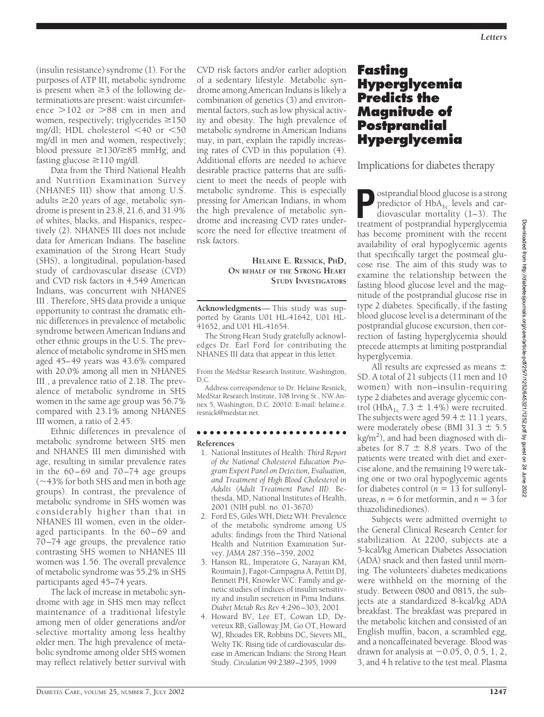(insulin resistance) syndrome (1). For the purposes of ATP III, metabolic syndrome is present when  $\geq$ 3 of the following determinations are present: waist circumference  $>102$  or  $>88$  cm in men and women, respectively; triglycerides  $\geq$ 150 mg/dl; HDL cholesterol  $\leq 40$  or  $\leq 50$ mg/dl in men and women, respectively; blood pressure  $\geq$ 130/ $\geq$ 85 mmHg; and fasting glucose  $\geq$ 110 mg/dl.

Data from the Third National Health and Nutrition Examination Survey (NHANES III) show that among U.S. adults  $\geq$ 20 years of age, metabolic syndrome is present in 23.8, 21.6, and 31.9% of whites, blacks, and Hispanics, respectively (2). NHANES III does not include data for American Indians. The baseline examination of the Strong Heart Study (SHS), a longitudinal, population-based study of cardiovascular disease (CVD) and CVD risk factors in 4,549 American Indians, was concurrent with NHANES III . Therefore, SHS data provide a unique opportunity to contrast the dramatic ethnic differences in prevalence of metabolic syndrome between American Indians and other ethnic groups in the U.S. The prevalence of metabolic syndrome in SHS men aged 45–49 years was 43.6% compared with 20.0% among all men in NHANES III , a prevalence ratio of 2.18. The prevalence of metabolic syndrome in SHS women in the same age group was 56.7% compared with 23.1% among NHANES III women, a ratio of 2.45.

Ethnic differences in prevalence of metabolic syndrome between SHS men and NHANES III men diminished with age, resulting in similar prevalence rates in the  $60 - 69$  and  $70 - 74$  age groups  $(-43\%$  for both SHS and men in both age groups). In contrast, the prevalence of metabolic syndrome in SHS women was considerably higher than that in NHANES III women, even in the olderaged participants. In the  $60 - 69$  and 70–74 age groups, the prevalence ratio contrasting SHS women to NHANES III women was 1.56. The overall prevalence of metabolic syndrome was 55.2% in SHS participants aged 45–74 years.

The lack of increase in metabolic syndrome with age in SHS men may reflect maintenance of a traditional lifestyle among men of older generations and/or selective mortality among less healthy older men. The high prevalence of metabolic syndrome among older SHS women may reflect relatively better survival with

CVD risk factors and/or earlier adoption of a sedentary lifestyle. Metabolic syndrome among American Indians is likely a combination of genetics (3) and environmental factors, such as low physical activity and obesity. The high prevalence of metabolic syndrome in American Indians may, in part, explain the rapidly increasing rates of CVD in this population (4). Additional efforts are needed to achieve desirable practice patterns that are sufficient to meet the needs of people with metabolic syndrome. This is especially pressing for American Indians, in whom the high prevalence of metabolic syndrome and increasing CVD rates underscore the need for effective treatment of risk factors.

> **HELAINE E. RESNICK, PHD, ON BEHALF OF THE STRONG HEART STUDY INVESTIGATORS**

**Acknowledgments**— This study was supported by Grants U01 HL-41642, U01 HL-41652, and U01 HL-41654.

The Strong Heart Study gratefully acknowledges Dr. Earl Ford for contributing the NHANES III data that appear in this letter.

From the MedStar Research Institute, Washington, D.C.

Address correspondence to Dr. Helaine Resnick, MedStar Research Institute, 108 Irving St., NW Annex 5, Washington, D.C. 20010. E-mail: helaine.e. resnick@medstar.net.

#### ●●●●●●●●●●●●●●●●●●●●●●● **References**

- 1. National Institutes of Health: *Third Report of the National Cholesterol Education Program Expert Panel on Detection, Evaluation, and Treatment of High Blood Cholesterol in Adults (Adult Treatment Panel III)*. Bethesda, MD, National Institutes of Health, 2001 (NIH publ. no. 01-3670)
- 2. Ford ES, Giles WH, Dietz WH: Prevalence of the metabolic syndrome among US adults: findings from the Third National Health and Nutrition Examination Survey. *JAMA* 287:356–359, 2002
- 3. Hanson RL, Imperatore G, Narayan KM, Roumain J, Fagot-Campagna A, Pettitt DJ, Bennett PH, Knowler WC: Family and genetic studies of indices of insulin sensitivity and insulin secretion in Pima Indians. *Diabet Metab Res Rev* 4:296–303, 2001
- 4. Howard BV, Lee ET, Cowan LD, Devereux RB, Galloway JM, Go OT, Howard WJ, Rhoades ER, Robbins DC, Sievers ML, Welty TK: Rising tide of cardiovascular disease in American Indians: the Strong Heart Study. *Circulation* 99:2389–2395, 1999

### **Fasting Hyperglycemia Predicts the Magnitude of Postprandial Hyperglycemia**

Implications for diabetes therapy

**Postprandial blood glucose is a strong<br>predictor of**  $HbA_1$  **levels and cardiovascular mortality (1–3). The<br>treatment of postprandial hyperglycemia** predictor of HbA<sub>1c</sub> levels and cardiovascular mortality (1–3). The treatment of postprandial hyperglycemia has become prominent with the recent availability of oral hypoglycemic agents that specifically target the postmeal glucose rise. The aim of this study was to examine the relationship between the fasting blood glucose level and the magnitude of the postprandial glucose rise in type 2 diabetes. Specifically, if the fasting blood glucose level is a determinant of the postprandial glucose excursion, then correction of fasting hyperglycemia should precede attempts at limiting postprandial hyperglycemia.

All results are expressed as means  $\pm$ SD. A total of 21 subjects (11 men and 10 women) with non–insulin-requiring type 2 diabetes and average glycemic control (HbA<sub>1c</sub> 7.3  $\pm$  1.4%) were recruited. The subjects were aged 59.4  $\pm$  11.1 years, were moderately obese (BMI 31.3  $\pm$  5.5 kg/m<sup>2</sup>), and had been diagnosed with diabetes for 8.7  $\pm$  8.8 years. Two of the patients were treated with diet and exercise alone, and the remaining 19 were taking one or two oral hypoglycemic agents for diabetes control ( $n = 13$  for sulfonylureas,  $n = 6$  for metformin, and  $n = 3$  for thiazolidinediones).

Subjects were admitted overnight to the General Clinical Research Center for stabilization. At 2200, subjects ate a 5-kcal/kg American Diabetes Association (ADA) snack and then fasted until morning. The volunteers' diabetes medications were withheld on the morning of the study. Between 0800 and 0815, the subjects ate a standardized 8-kcal/kg ADA breakfast. The breakfast was prepared in the metabolic kitchen and consisted of an English muffin, bacon, a scrambled egg, and a noncaffeinated beverage. Blood was drawn for analysis at  $-0.05, 0, 0.5, 1, 2$ , 3, and 4 h relative to the test meal. Plasma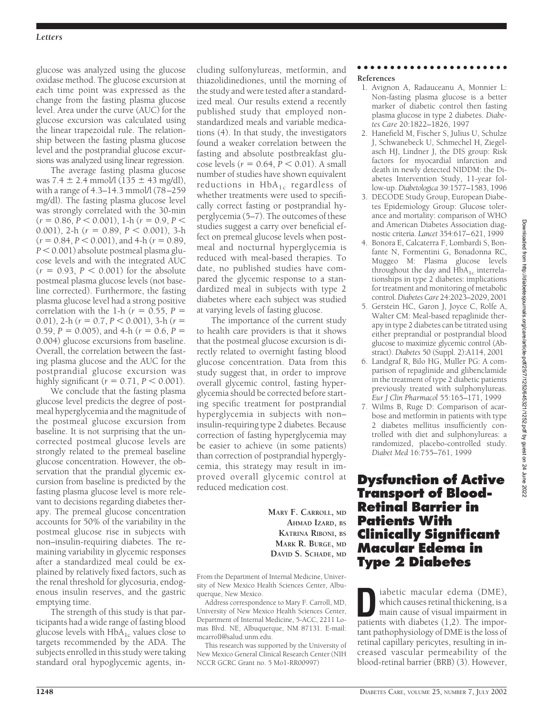### *Letters*

glucose was analyzed using the glucose oxidase method. The glucose excursion at each time point was expressed as the change from the fasting plasma glucose level. Area under the curve (AUC) for the glucose excursion was calculated using the linear trapezoidal rule. The relationship between the fasting plasma glucose level and the postprandial glucose excursions was analyzed using linear regression.

The average fasting plasma glucose was  $7.4 \pm 2.4$  mmol/l (135  $\pm$  43 mg/dl), with a range of 4.3–14.3 mmol/l (78–259) mg/dl). The fasting plasma glucose level was strongly correlated with the 30-min  $(r = 0.86, P < 0.001), 1-h (r = 0.9, P <$  $0.001$ ),  $2-h$  ( $r = 0.89$ ,  $P < 0.001$ ),  $3-h$  $(r = 0.84, P < 0.001)$ , and  $4-h$  ( $r = 0.89$ , *P* 0.001) absolute postmeal plasma glucose levels and with the integrated AUC  $(r = 0.93, P < 0.001)$  for the absolute postmeal plasma glucose levels (not baseline corrected). Furthermore, the fasting plasma glucose level had a strong positive correlation with the 1-h ( $r = 0.55$ ,  $P =$  $(0.01)$ ,  $2-h$  ( $r = 0.7$ ,  $P < 0.001$ ),  $3-h$  ( $r =$ 0.59,  $P = 0.005$ ), and 4-h ( $r = 0.6$ ,  $P =$ 0.004) glucose excursions from baseline. Overall, the correlation between the fasting plasma glucose and the AUC for the postprandial glucose excursion was highly significant  $(r = 0.71, P < 0.001)$ .

We conclude that the fasting plasma glucose level predicts the degree of postmeal hyperglycemia and the magnitude of the postmeal glucose excursion from baseline. It is not surprising that the uncorrected postmeal glucose levels are strongly related to the premeal baseline glucose concentration. However, the observation that the prandial glycemic excursion from baseline is predicted by the fasting plasma glucose level is more relevant to decisions regarding diabetes therapy. The premeal glucose concentration accounts for 50% of the variability in the postmeal glucose rise in subjects with non–insulin-requiring diabetes. The remaining variability in glycemic responses after a standardized meal could be explained by relatively fixed factors, such as the renal threshold for glycosuria, endogenous insulin reserves, and the gastric emptying time.

The strength of this study is that participants had a wide range of fasting blood glucose levels with  $HbA_{1c}$  values close to targets recommended by the ADA. The subjects enrolled in this study were taking standard oral hypoglycemic agents, including sulfonylureas, metformin, and thiazolidinediones, until the morning of the study and were tested after a standardized meal. Our results extend a recently published study that employed nonstandardized meals and variable medications (4). In that study, the investigators found a weaker correlation between the fasting and absolute postbreakfast glu- $\cos$  levels ( $r = 0.64$ ,  $P < 0.01$ ). A small number of studies have shown equivalent reductions in  $HbA_{1c}$  regardless of whether treatments were used to specifically correct fasting or postprandial hyperglycemia (5–7). The outcomes of these studies suggest a carry over beneficial effect on premeal glucose levels when postmeal and nocturnal hyperglycemia is reduced with meal-based therapies. To date, no published studies have compared the glycemic response to a standardized meal in subjects with type 2 diabetes where each subject was studied at varying levels of fasting glucose.

The importance of the current study to health care providers is that it shows that the postmeal glucose excursion is directly related to overnight fasting blood glucose concentration. Data from this study suggest that, in order to improve overall glycemic control, fasting hyperglycemia should be corrected before starting specific treatment for postprandial hyperglycemia in subjects with non– insulin-requiring type 2 diabetes. Because correction of fasting hyperglycemia may be easier to achieve (in some patients) than correction of postprandial hyperglycemia, this strategy may result in improved overall glycemic control at reduced medication cost.

> **MARY F. CARROLL, MD AHMAD IZARD, BS KATRINA RIBONI, BS MARK R. BURGE, MD DAVID S. SCHADE, MD**

From the Department of Internal Medicine, University of New Mexico Health Sciences Center, Albuquerque, New Mexico.

Address correspondence to Mary F. Carroll, MD, University of New Mexico Health Sciences Center, Department of Internal Medicine, 5-ACC, 2211 Lomas Blvd. NE, Albuquerque, NM 87131. E-mail: mcarroll@salud.unm.edu.

This research was supported by the University of New Mexico General Clinical Research Center (NIH NCCR GCRC Grant no. 5 Mo1-RR00997)

#### ●●●●●●●●●●●●●●●●●●●●●●●

#### **References**

- 1. Avignon A, Radauceanu A, Monnier L: Non-fasting plasma glucose is a better marker of diabetic control then fasting plasma glucose in type 2 diabetes. *Diabetes Care* 20:1822–1826, 1997
- 2. Hanefield M, Fischer S, Julius U, Schulze J, Schwanebeck U, Schmechel H, Ziegelasch HJ, Lindner J, the DIS group: Risk factors for myocardial infarction and death in newly detected NIDDM: the Diabetes Intervention Study, 11-year follow-up. *Diabetologica* 39:1577–1583, 1996
- 3. DECODE Study Group, European Diabetes Epidemiology Group: Glucose tolerance and mortality: comparison of WHO and American Diabetes Association diagnostic criteria. *Lancet* 354:617–621, 1999
- 4. Bonora E, Calcaterra F, Lombardi S, Bonfante N, Formentini G, Bonadonna RC, Muggeo M: Plasma glucose levels throughout the day and  $HbA_{1c}$  interrelationships in type 2 diabetes: implications for treatment and monitoring of metabolic control.*Diabetes Care* 24:2023–2029, 2001
- 5. Gerstein HC, Garon J, Joyce C, Rolfe A, Walter CM: Meal-based repaglinide therapy in type 2 diabetes can be titrated using either preprandial or postprandial blood glucose to maximize glycemic control (Abstract). *Diabetes* 50 (Suppl. 2):A114, 2001
- 6. Landgraf R, Bilo HG, Muller PG: A comparison of repaglinide and glibenclamide in the treatment of type 2 diabetic patients previously treated with sulphonylureas. *Eur J Clin Pharmacol* 55:165–171, 1999
- 7. Wilms B, Ruge D: Comparison of acarbose and metformin in patients with type 2 diabetes mellitus insufficiently controlled with diet and sulphonylureas: a randomized, placebo-controlled study. *Diabet Med* 16:755–761, 1999

### **Dysfunction of Active Transport of Blood-Retinal Barrier in Patients With Clinically Significant Macular Edema in Type 2 Diabetes**

**D**iabetic macular edema (DME),<br>which causes retinal thickening, is a<br>main cause of visual impairment in<br>patients with diabetes (1.2). The imporwhich causes retinal thickening, is a patients with diabetes (1,2). The important pathophysiology of DME is the loss of retinal capillary pericytes, resulting in increased vascular permeability of the blood-retinal barrier (BRB) (3). However,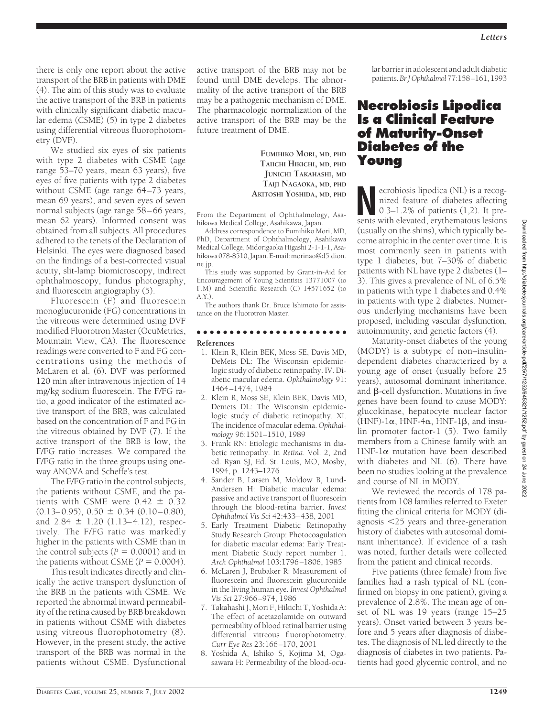there is only one report about the active transport of the BRB in patients with DME (4). The aim of this study was to evaluate the active transport of the BRB in patients with clinically significant diabetic macular edema (CSME) (5) in type 2 diabetes using differential vitreous fluorophotometry (DVF).

We studied six eyes of six patients with type 2 diabetes with CSME (age range 53–70 years, mean 63 years), five eyes of five patients with type 2 diabetes without CSME (age range 64–73 years, mean 69 years), and seven eyes of seven normal subjects (age range 58–66 years, mean 62 years). Informed consent was obtained from all subjects. All procedures adhered to the tenets of the Declaration of Helsinki. The eyes were diagnosed based on the findings of a best-corrected visual acuity, slit-lamp biomicroscopy, indirect ophthalmoscopy, fundus photography, and fluorescein angiography (5).

Fluorescein (F) and fluorescein monoglucuronide (FG) concentrations in the vitreous were determined using DVF modified Fluorotron Master (OcuMetrics, Mountain View, CA). The fluorescence readings were converted to F and FG concentrations using the methods of McLaren et al. (6). DVF was performed 120 min after intravenous injection of 14 mg/kg sodium fluorescein. The F/FG ratio, a good indicator of the estimated active transport of the BRB, was calculated based on the concentration of F and FG in the vitreous obtained by DVF (7). If the active transport of the BRB is low, the F/FG ratio increases. We compared the F/FG ratio in the three groups using oneway ANOVA and Scheffe's test.

The F/FG ratio in the control subjects, the patients without CSME, and the patients with CSME were  $0.42 \pm 0.32$  $(0.13-0.95), 0.50 \pm 0.34 (0.10-0.80),$ and  $2.84 \pm 1.20$  (1.13–4.12), respectively. The F/FG ratio was markedly higher in the patients with CSME than in the control subjects  $(P = 0.0001)$  and in the patients without  $CSME (P = 0.0004)$ .

This result indicates directly and clinically the active transport dysfunction of the BRB in the patients with CSME. We reported the abnormal inward permeability of the retina caused by BRB breakdown in patients without CSME with diabetes using vitreous fluorophotometry (8). However, in the present study, the active transport of the BRB was normal in the patients without CSME. Dysfunctional

active transport of the BRB may not be found until DME develops. The abnormality of the active transport of the BRB may be a pathogenic mechanism of DME. The pharmacologic normalization of the active transport of the BRB may be the future treatment of DME.

> **FUMIHIKO MORI, MD, PHD TAIICHI HIKICHI, MD, PHD JUNICHI TAKAHASHI, MD TAIJI NAGAOKA, MD, PHD AKITOSHI YOSHIDA, MD, PHD**

From the Department of Ophthalmology, Asahikawa Medical College, Asahikawa, Japan.

Address correspondence to Fumihiko Mori, MD, PhD, Department of Ophthalmology, Asahikawa Medical College, Midorigaoka Higashi 2-1-1-1, Asahikawa078-8510,Japan.E-mail:morinao@d5.dion. ne.jp.

This study was supported by Grant-in-Aid for Encouragement of Young Scientists 13771007 (to F.M) and Scientific Research (C) 14571652 (to  $A.Y.$ )

The authors thank Dr. Bruce Ishimoto for assistance on the Fluorotron Master.

### ●●●●●●●●●●●●●●●●●●●●●●●

#### **References**

- 1. Klein R, Klein BEK, Moss SE, Davis MD, DeMets DL: The Wisconsin epidemiologic study of diabetic retinopathy. IV. Diabetic macular edema. *Ophthalmology* 91: 1464–1474, 1984
- 2. Klein R, Moss SE, Klein BEK, Davis MD, Demets DL: The Wisconsin epidemiologic study of diabetic retinopathy. XI. The incidence of macular edema.*Ophthalmology* 96:1501–1510, 1989
- 3. Frank RN: Etiologic mechanisms in diabetic retinopathy. In *Retina*. Vol. 2, 2nd ed. Ryan SJ, Ed. St. Louis, MO, Mosby, 1994, p. 1243–1276
- 4. Sander B, Larsen M, Moldow B, Lund-Andersen H: Diabetic macular edema: passive and active transport of fluorescein through the blood-retina barrier. *Invest Ophthalmol Vis Sci* 42:433–438, 2001
- 5. Early Treatment Diabetic Retinopathy Study Research Group: Photocoagulation for diabetic macular edema: Early Treatment Diabetic Study report number 1. *Arch Ophthalmol* 103:1796–1806, 1985
- 6. McLaren J, Brubaker R: Measurement of fluorescein and fluorescein glucuronide in the living human eye. *Invest Ophthalmol Vis Sci* 27:966–974, 1986
- 7. Takahashi J, Mori F, Hikichi T, Yoshida A: The effect of acetazolamide on outward permeability of blood retinal barrier using differential vitreous fluorophotometry. *Curr Eye Res* 23:166–170, 2001
- 8. Yoshida A, Ishiko S, Kojima M, Ogasawara H: Permeability of the blood-ocu-

lar barrier in adolescent and adult diabetic patients. *Br J Ophthalmol* 77:158–161, 1993

### **Necrobiosis Lipodica Is a Clinical Feature of Maturity-Onset Diabetes of the Young**

**Necrobiosis lipodica** (NL) is a recognized feature of diabetes affecting<br>0.3–1.2% of patients (1,2). It pre-<br>sents with elevated erythematous lesions nized feature of diabetes affecting sents with elevated, erythematous lesions (usually on the shins), which typically become atrophic in the center over time. It is most commonly seen in patients with type 1 diabetes, but 7–30% of diabetic patients with NL have type 2 diabetes (1– 3). This gives a prevalence of NL of 6.5% in patients with type 1 diabetes and 0.4% in patients with type 2 diabetes. Numerous underlying mechanisms have been proposed, including vascular dysfunction, autoimmunity, and genetic factors (4).

Maturity-onset diabetes of the young (MODY) is a subtype of non–insulindependent diabetes characterized by a young age of onset (usually before 25 years), autosomal dominant inheritance, and  $\beta$ -cell dysfunction. Mutations in five genes have been found to cause MODY: glucokinase, hepatocyte nuclear factor (HNF)- $1\alpha$ , HNF- $4\alpha$ , HNF- $1\beta$ , and insulin promoter factor-1 (5). Two family members from a Chinese family with an HNF-1 mutation have been described with diabetes and NL (6). There have been no studies looking at the prevalence and course of NL in MODY.

We reviewed the records of 178 patients from 108 families referred to Exeter fitting the clinical criteria for MODY (diagnosis 25 years and three-generation history of diabetes with autosomal dominant inheritance). If evidence of a rash was noted, further details were collected from the patient and clinical records.

Five patients (three female) from five families had a rash typical of NL (confirmed on biopsy in one patient), giving a prevalence of 2.8%. The mean age of onset of NL was 19 years (range 15–25 years). Onset varied between 3 years before and 5 years after diagnosis of diabetes. The diagnosis of NL led directly to the diagnosis of diabetes in two patients. Patients had good glycemic control, and no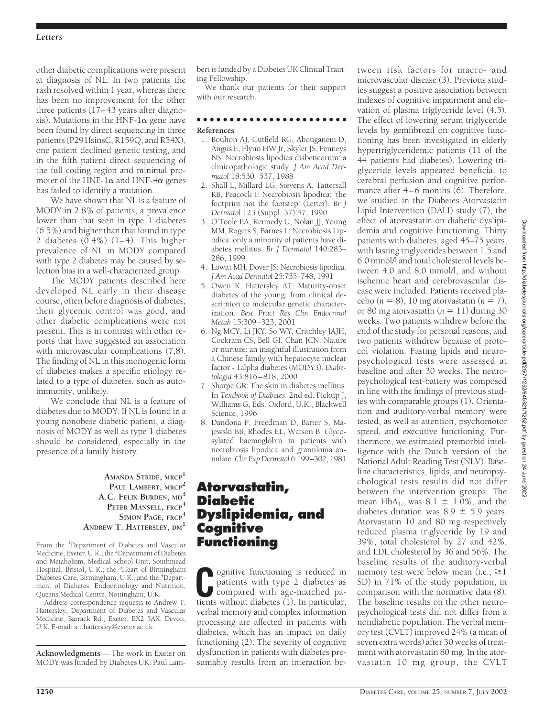other diabetic complications were present at diagnosis of NL. In two patients the rash resolved within 1 year, whereas there has been no improvement for the other three patients (17–43 years after diagnosis). Mutations in the HNF- $1\alpha$  gene have been found by direct sequencing in three patients (P291fsinsC, R159Q, and R54X), one patient declined genetic testing, and in the fifth patient direct sequencing of the full coding region and minimal promoter of the HNF- $1\alpha$  and HNF- $4\alpha$  genes has failed to identify a mutation.

We have shown that NL is a feature of MODY in 2.8% of patients, a prevalence lower than that seen in type 1 diabetes (6.5%) and higher than that found in type 2 diabetes  $(0.4\%)$   $(1-4)$ . This higher prevalence of NL in MODY compared with type 2 diabetes may be caused by selection bias in a well-characterized group.

The MODY patients described here developed NL early in their disease course, often before diagnosis of diabetes; their glycemic control was good, and other diabetic complications were not present. This is in contrast with other reports that have suggested an association with microvascular complications (7,8). The finding of NL in this monogenic form of diabetes makes a specific etiology related to a type of diabetes, such as autoimmunity, unlikely.

We conclude that NL is a feature of diabetes due to MODY. If NL is found in a young nonobese diabetic patient, a diagnosis of MODY as well as type 1 diabetes should be considered, especially in the presence of a family history.

> **AMANDA STRIDE, MRCP<sup>1</sup> PAUL LAMBERT, MRCP<sup>2</sup> A.C. FELIX BURDEN, MD<sup>3</sup> PETER MANSELL, FRCP<sup>4</sup> SIMON PAGE, FRCP<sup>4</sup> ANDREW T. HATTERSLEY, DM<sup>1</sup>**

From the <sup>1</sup>Department of Diabetes and Vascular Medicine, Exeter, U.K.; the <sup>2</sup>Department of Diabetes and Metabolism, Medical School Unit, Southmead Hospital, Bristol, U.K.; the <sup>3</sup>Heart of Birmingham Diabetes Care, Birmingham, U.K.; and the <sup>4</sup>Department of Diabetes, Endocrinology and Nutrition, Queens Medical Centre, Nottingham, U.K.

Address correspondence requests to Andrew T. Hattersley, Department of Diabetes and Vascular Medicine, Barrack Rd., Exeter, EX2 5AX, Devon, U.K. E-mail: a.t.hattersley@exeter.ac.uk.

**Acknowledgments**— The work in Exeter on MODY was funded by Diabetes UK. Paul Lambert is funded by a Diabetes UK Clinical Training Fellowship.

We thank our patients for their support with our research.

#### ●●●●●●●●●●●●●●●●●●●●●●● **References**

- 1. Boulton AJ, Cutfield RG, Abouganem D, Angus E, Flynn HW Jr, Skyler JS, Penneys NS: Necrobiosis lipodica diabeticorum: a clinicopathologic study. *J Am Acad Dermatol* 18:530–537, 1988
- 2. Shall L, Millard LG, Stevens A, Tattersall RB, Peacock I: Necrobiosis lipodica: 'the footprint not the footstep' (Letter). *Br J Dermatol* 123 (Suppl. 37):47, 1990
- 3. O'Toole EA, Kennedy U, Nolan JJ, Young MM, Rogers S, Barnes L: Necrobiosis Lipodica: only a minority of patients have diabetes mellitus. *Br J Dermatol* 140:283– 286, 1999
- 4. Lowitt MH, Dover JS: Necrobiosis lipodica. *J Am Acad Dermatol* 25:735–748, 1991
- 5. Owen K, Hattersley AT: Maturity-onset diabetes of the young: from clinical description to molecular genetic characterization. *Best Pract Res Clin Endocrinol Metab* 15:309–323, 2001
- 6. Ng MCY, Li JKY, So WY, Critchley JAJH, Cockram CS, Bell GI, Chan JCN: Nature or nurture: an insightful illustration from a Chinese family with hepatocyte nuclear factor - 1alpha diabetes (MODY3). *Diabetologia* 43:816–818, 2000
- 7. Sharpe GR: The skin in diabetes mellitus. In *Textbook of Diabetes*. 2nd ed. Pickup J, Williams G, Eds. Oxford, U.K., Blackwell Science, 1996
- 8. Dandona P, Freedman D, Barter S, Majewski BB, Rhodes EL, Watson B: Glycosylated haemoglobin in patients with necrobiosis lipodica and granuloma annulare. *Clin Exp Dermatol* 6:199–302, 1981

## **Atorvastatin, Diabetic Dyslipidemia, and Cognitive Functioning**

**C**ognitive functioning is reduced in patients with type 2 diabetes as compared with age-matched patients without diabetes (1). In particular, verbal memory and complex information processing are affected in patients with diabetes, which has an impact on daily functioning (2). The severity of cognitive dysfunction in patients with diabetes presumably results from an interaction between risk factors for macro- and microvascular disease (3). Previous studies suggest a positive association between indexes of cognitive impairment and elevation of plasma triglyceride level (4,5). The effect of lowering serum triglyceride levels by gemfibrozil on cognitive functioning has been investigated in elderly hypertriglyceridemic patients (11 of the 44 patients had diabetes). Lowering triglyceride levels appeared beneficial to cerebral perfusion and cognitive performance after 4–6 months (6). Therefore, we studied in the Diabetes Atorvastatin Lipid Intervention (DALI) study (7), the effect of atorvastatin on diabetic dyslipidemia and cognitive functioning. Thirty patients with diabetes, aged 45–75 years, with fasting triglycerides between 1.5 and 6.0 mmol/l and total cholesterol levels between 4.0 and 8.0 mmol/l, and without ischemic heart and cerebrovascular disease were included. Patients received placebo ( $n = 8$ ), 10 mg atorvastatin ( $n = 7$ ), or 80 mg atorvastatin  $(n = 11)$  during 30 weeks. Two patients withdrew before the end of the study for personal reasons, and two patients withdrew because of protocol violation. Fasting lipids and neuropsychological tests were assessed at baseline and after 30 weeks. The neuropsychological test-battery was composed in line with the findings of previous studies with comparable groups (1). Orientation and auditory-verbal memory were tested, as well as attention, psychomotor speed, and executive functioning. Furthermore, we estimated premorbid intelligence with the Dutch version of the National Adult Reading Test (NLV). Baseline characteristics, lipids, and neuropsychological tests results did not differ between the intervention groups. The mean  $HbA_{1c}$  was 8.1  $\pm$  1.0%, and the diabetes duration was  $8.9 \pm 5.9$  years. Atorvastatin 10 and 80 mg respectively reduced plasma triglyceride by 19 and 39%, total cholesterol by 27 and 42%, and LDL cholesterol by 36 and 56%. The baseline results of the auditory-verbal memory test were below mean (i.e.,  $\geq$ 1 SD) in 71% of the study population, in comparison with the normative data (8). The baseline results on the other neuropsychological tests did not differ from a nondiabetic population. The verbal memory test (CVLT) improved 24% (a mean of seven extra words) after 30 weeks of treatment with atorvastatin 80 mg. In the atorvastatin 10 mg group, the CVLT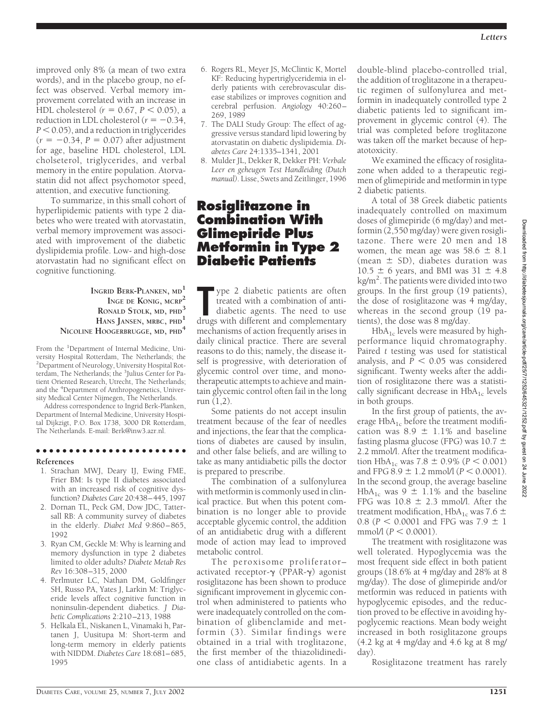improved only 8% (a mean of two extra words), and in the placebo group, no effect was observed. Verbal memory improvement correlated with an increase in  $HDL$  cholesterol ( $r = 0.67, P < 0.05$ ), a reduction in LDL cholesterol ( $r = -0.34$ ,  $P < 0.05$ ), and a reduction in triglycerides  $(r = -0.34, P = 0.07)$  after adjustment for age, baseline HDL cholesterol, LDL cholseterol, triglycerides, and verbal memory in the entire population. Atorvastatin did not affect psychomotor speed, attention, and executive functioning.

To summarize, in this small cohort of hyperlipidemic patients with type 2 diabetes who were treated with atorvastatin, verbal memory improvement was associated with improvement of the diabetic dyslipidemia profile. Low- and high-dose atorvastatin had no significant effect on cognitive functioning.

### **INGRID BERK-PLANKEN, MD<sup>1</sup> INGE DE KONIG, MCRP<sup>2</sup> RONALD STOLK, MD, PHD<sup>3</sup> HANS JANSEN, MRBC, PHD<sup>1</sup> NICOLINE HOOGERBRUGGE, MD, PHD<sup>4</sup>**

From the <sup>1</sup>Department of Internal Medicine, University Hospital Rotterdam, The Netherlands; the 2 Department of Neurology, University Hospital Rotterdam, The Netherlands; the <sup>3</sup>Julius Center for Patient Oriented Research, Utrecht, The Netherlands; and the <sup>4</sup>Department of Anthropogenetics, University Medical Center Nijmegen, The Netherlands.

Address correspondence to Ingrid Berk-Planken, Department of Internal Medicine, University Hospital Dijkzigt, P.O. Box 1738, 3000 DR Rotterdam, The Netherlands. E-mail: Berk@inw3.azr.nl.

### ●●●●●●●●●●●●●●●●●●●●●●●

#### **References**

- 1. Strachan MWJ, Deary IJ, Ewing FME, Frier BM: Is type II diabetes associated with an increased risk of cognitive dysfunction? *Diabetes Care* 20:438–445, 1997
- 2. Dornan TL, Peck GM, Dow JDC, Tattersall RB: A community survey of diabetes in the elderly. *Diabet Med* 9:860–865, 1992
- 3. Ryan CM, Geckle M: Why is learning and memory dysfunction in type 2 diabetes limited to older adults? *Diabete Metab Res Rev* 16:308–315, 2000
- 4. Perlmuter LC, Nathan DM, Goldfinger SH, Russo PA, Yates J, Larkin M: Triglyceride levels affect cognitive function in noninsulin-dependent diabetics. *J Diabetic Complications* 2:210–213, 1988
- 5. Helkala EL, Niskanen L, Vinamaki h, Partanen J, Uusitupa M: Short-term and long-term memory in elderly patients with NIDDM. *Diabetes Care* 18:681–685, 1995
- 6. Rogers RL, Meyer JS, McClintic K, Mortel KF: Reducing hypertriglyceridemia in elderly patients with cerebrovascular disease stabilizes or improves cognition and cerebral perfusion. *Angiology* 40:260– 269, 1989
- 7. The DALI Study Group: The effect of aggressive versus standard lipid lowering by atorvastatin on diabetic dyslipidemia. *Diabetes Care* 24:1335–1341, 2001
- 8. Mulder JL, Dekker R, Dekker PH: *Verbale Leer en geheugen Test Handleiding (Dutch manual)*. Lisse, Swets and Zeitlinger, 1996

### **Rosiglitazone in Combination With Glimepiride Plus Metformin in Type 2 Diabetic Patients**

Type 2 diabetic patients are often treated with a combination of anti-<br>diabetic agents. The need to use<br>drugs with different and complementary ■ype 2 diabetic patients are often treated with a combination of antidiabetic agents. The need to use mechanisms of action frequently arises in daily clinical practice. There are several reasons to do this; namely, the disease itself is progressive, with deterioration of glycemic control over time, and monotherapeutic attempts to achieve and maintain glycemic control often fail in the long run (1,2).

Some patients do not accept insulin treatment because of the fear of needles and injections, the fear that the complications of diabetes are caused by insulin, and other false beliefs, and are willing to take as many antidiabetic pills the doctor is prepared to prescribe.

The combination of a sulfonylurea with metformin is commonly used in clinical practice. But when this potent combination is no longer able to provide acceptable glycemic control, the addition of an antidiabetic drug with a different mode of action may lead to improved metabolic control.

The peroxisome proliferator– activated receptor- $\gamma$  (PPAR- $\gamma$ ) agonist rosiglitazone has been shown to produce significant improvement in glycemic control when administered to patients who were inadequately controlled on the combination of glibenclamide and metformin (3). Similar findings were obtained in a trial with troglitazone, the first member of the thiazolidinedione class of antidiabetic agents. In a double-blind placebo-controlled trial, the addition of troglitazone in a therapeutic regimen of sulfonylurea and metformin in inadequately controlled type 2 diabetic patients led to significant improvement in glycemic control (4). The trial was completed before troglitazone was taken off the market because of hepatotoxicity.

We examined the efficacy of rosiglitazone when added to a therapeutic regimen of glimepiride and metformin in type 2 diabetic patients.

A total of 38 Greek diabetic patients inadequately controlled on maximum doses of glimepiride (6 mg/day) and metformin (2,550 mg/day) were given rosiglitazone. There were 20 men and 18 women, the mean age was  $58.6 \pm 8.1$ (mean  $\pm$  SD), diabetes duration was  $10.5 \pm 6$  years, and BMI was  $31 \pm 4.8$ kg/m<sup>2</sup> . The patients were divided into two groups. In the first group (19 patients), the dose of rosiglitazone was 4 mg/day, whereas in the second group (19 patients), the dose was 8 mg/day.

 $HbA_{1c}$  levels were measured by highperformance liquid chromatography. Paired *t* testing was used for statistical analysis, and  $\bar{P}$  < 0.05 was considered significant. Twenty weeks after the addition of rosiglitazone there was a statistically significant decrease in  $HbA_{1c}$  levels in both groups.

In the first group of patients, the average  $HbA_{1c}$  before the treatment modification was 8.9  $\pm$  1.1% and baseline fasting plasma glucose (FPG) was  $10.7 \pm$ 2.2 mmol/l. After the treatment modification  $HbA_{1c}$  was 7.8  $\pm$  0.9% ( $P < 0.001$ ) and FPG  $8.9 \pm 1.2$  mmol/l ( $P < 0.0001$ ). In the second group, the average baseline HbA<sub>1c</sub> was 9  $\pm$  1.1% and the baseline FPG was  $10.8 \pm 2.3$  mmol/l. After the treatment modification, HbA<sub>1c</sub> was 7.6  $\pm$ 0.8 ( $P < 0.0001$  and FPG was 7.9  $\pm$  1 mmol $/$ l ( $P < 0.0001$ ).

The treatment with rosiglitazone was well tolerated. Hypoglycemia was the most frequent side effect in both patient groups (18.6% at 4 mg/day and 28% at 8 mg/day). The dose of glimepiride and/or metformin was reduced in patients with hypoglycemic episodes, and the reduction proved to be effective in avoiding hypoglycemic reactions. Mean body weight increased in both rosiglitazone groups  $(4.2 \text{ kg at } 4 \text{ mg/day and } 4.6 \text{ kg at } 8 \text{ mg/m}$ day).

Rosiglitazone treatment has rarely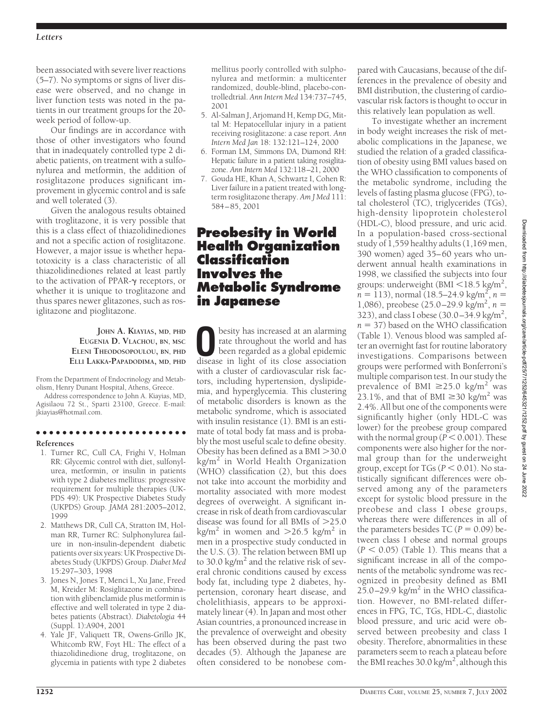been associated with severe liver reactions (5–7). No symptoms or signs of liver disease were observed, and no change in liver function tests was noted in the patients in our treatment groups for the 20 week period of follow-up.

Our findings are in accordance with those of other investigators who found that in inadequately controlled type 2 diabetic patients, on treatment with a sulfonylurea and metformin, the addition of rosiglitazone produces significant improvement in glycemic control and is safe and well tolerated (3).

Given the analogous results obtained with troglitazone, it is very possible that this is a class effect of thiazolidinediones and not a specific action of rosiglitazone. However, a major issue is whether hepatotoxicity is a class characteristic of all thiazolidinediones related at least partly to the activation of PPAR- $\gamma$  receptors, or whether it is unique to troglitazone and thus spares newer glitazones, such as rosiglitazone and pioglitazone.

### **JOHN A. KIAYIAS, MD, PHD EUGENIA D. VLACHOU, BN, MSC ELENI THEODOSOPOULOU, BN, PHD ELLI LAKKA-PAPADODIMA, MD, PHD**

From the Department of Endocrinology and Metabolism, Henry Dunant Hospital, Athens, Greece.

Address correspondence to John A. Kiayias, MD, Agisilaou 72 St., Sparti 23100, Greece. E-mail: jkiayias@hotmail.com.

### ●●●●●●●●●●●●●●●●●●●●●●●

- **References**
- 1. Turner RC, Cull CA, Frighi V, Holman RR: Glycemic control with diet, sulfonylurea, metformin, or insulin in patients with type 2 diabetes mellitus: progressive requirement for multiple therapies (UK-PDS 49): UK Prospective Diabetes Study (UKPDS) Group. *JAMA* 281:2005–2012, 1999
- 2. Matthews DR, Cull CA, Stratton IM, Holman RR, Turner RC: Sulphonylurea failure in non-insulin-dependent diabetic patients over six years: UK Prospective Diabetes Study (UKPDS) Group. *Diabet Med* 15:297–303, 1998
- 3. Jones N, Jones T, Menci L, Xu Jane, Freed M, Kreider M: Rosiglitazone in combination with glibenclamide plus metformin is effective and well tolerated in type 2 diabetes patients (Abstract). *Diabetologia* 44 (Suppl. 1):A904, 2001
- 4. Yale JF, Valiquett TR, Owens-Grillo JK, Whitcomb RW, Foyt HL: The effect of a thiazolidinedione drug, troglitazone, on glycemia in patients with type 2 diabetes

mellitus poorly controlled with sulphonylurea and metformin: a multicenter randomized, double-blind, placebo-controlledtrial. *Ann Intern Med* 134:737–745, 2001

- 5. Al-Salman J, Arjomand H, Kemp DG, Mittal M: Hepatocellular injury in a patient receiving rosiglitazone: a case report. *Ann Intern Med Jan* 18: 132:121–124, 2000
- 6. Forman LM, Simmons DA, Diamond RH: Hepatic failure in a patient taking rosiglitazone. *Ann Intern Med* 132:118–21, 2000
- 7. Gouda HE, Khan A, Schwartz I, Cohen R: Liver failure in a patient treated with longterm rosiglitazone therapy. *Am J Med* 111: 584–85, 2001

## **Preobesity in World Health Organization Classification Involves the Metabolic Syndrome in Japanese**

**O**besity has increased at an alarming<br>rate throughout the world and has<br>been regarded as a global epidemic<br>disease in light of its close association rate throughout the world and has disease in light of its close association with a cluster of cardiovascular risk factors, including hypertension, dyslipidemia, and hyperglycemia. This clustering of metabolic disorders is known as the metabolic syndrome, which is associated with insulin resistance (1). BMI is an estimate of total body fat mass and is probably the most useful scale to define obesity. Obesity has been defined as a BMI  $>$  30.0  $kg/m<sup>2</sup>$  in World Health Organization (WHO) classification (2), but this does not take into account the morbidity and mortality associated with more modest degrees of overweight. A significant increase in risk of death from cardiovascular disease was found for all BMIs of  $>25.0$ kg/m<sup>2</sup> in women and  $>$ 26.5 kg/m<sup>2</sup> in men in a prospective study conducted in the U.S. (3). The relation between BMI up to 30.0 kg/m<sup>2</sup> and the relative risk of several chronic conditions caused by excess body fat, including type 2 diabetes, hypertension, coronary heart disease, and cholelithiasis, appears to be approximately linear (4). In Japan and most other Asian countries, a pronounced increase in the prevalence of overweight and obesity has been observed during the past two decades (5). Although the Japanese are often considered to be nonobese compared with Caucasians, because of the differences in the prevalence of obesity and BMI distribution, the clustering of cardiovascular risk factors is thought to occur in this relatively lean population as well.

To investigate whether an increment in body weight increases the risk of metabolic complications in the Japanese, we studied the relation of a graded classification of obesity using BMI values based on the WHO classification to components of the metabolic syndrome, including the levels of fasting plasma glucose (FPG), total cholesterol (TC), triglycerides (TGs), high-density lipoprotein cholesterol (HDL-C), blood pressure, and uric acid. In a population-based cross-sectional study of 1,559 healthy adults (1,169 men, 390 women) aged 35–60 years who underwent annual health examinations in 1998, we classified the subjects into four groups: underweight (BMI  $<$  18.5 kg/m<sup>2</sup>,  $\tilde{n} = 113$ ), normal (18.5–24.9 kg/m<sup>2</sup>,  $n =$ 1,086), preobese  $(25.0 - 29.9 \text{ kg/m}^2, n =$ 323), and class I obese  $(30.0 - 34.9 \text{ kg/m}^2,$ *n* = 37) based on the WHO classification (Table 1). Venous blood was sampled after an overnight fast for routine laboratory investigations. Comparisons between groups were performed with Bonferroni's multiple comparison test. In our study the prevalence of BMI  $\geq$ 25.0 kg/m<sup>2</sup> was 23.1%, and that of BMI  $\geq$  30 kg/m<sup>2</sup> was 2.4%. All but one of the components were significantly higher (only HDL-C was lower) for the preobese group compared with the normal group  $(P < 0.001)$ . These components were also higher for the normal group than for the underweight group, except for  $TGs (P < 0.01)$ . No statistically significant differences were observed among any of the parameters except for systolic blood pressure in the preobese and class I obese groups, whereas there were differences in all of the parameters besides  $TC (P = 0.09)$  between class I obese and normal groups  $(P < 0.05)$  (Table 1). This means that a significant increase in all of the components of the metabolic syndrome was recognized in preobesity defined as BMI  $25.0 - 29.9$  kg/m<sup>2</sup> in the WHO classification. However, no BMI-related differences in FPG, TC, TGs, HDL-C, diastolic blood pressure, and uric acid were observed between preobesity and class I obesity. Therefore, abnormalities in these parameters seem to reach a plateau before the BMI reaches 30.0 kg/m<sup>2</sup>, although this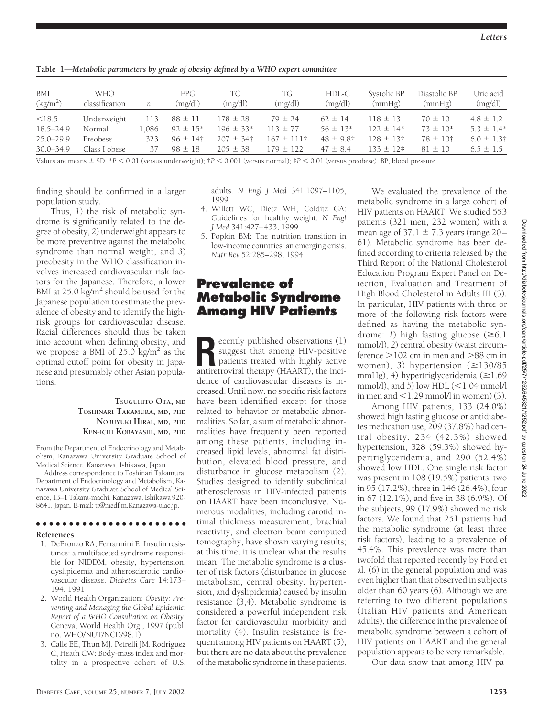| There is intermediate parameters by grand of obesity acquired by a 41110 expert committee |                       |       |                |                |                 |                  |                       |                        |                      |
|-------------------------------------------------------------------------------------------|-----------------------|-------|----------------|----------------|-----------------|------------------|-----------------------|------------------------|----------------------|
| BMI<br>(kg/m <sup>2</sup> )                                                               | WHO<br>classification | n     | FPG<br>(mg/dl) | TC<br>(mg/dl)  | TG<br>(mg/dl)   | HDL-C<br>(mg/dl) | Systolic BP<br>(mmHg) | Diastolic BP<br>(mmHg) | Uric acid<br>(mg/dl) |
| <18.5                                                                                     | Underweight           | 113   | $88 \pm 11$    | $178 \pm 28$   | $79 \pm 24$     | $62 \pm 14$      | $118 \pm 13$          | $70 \pm 10$            | $4.8 \pm 1.2$        |
| $18.5 - 24.9$                                                                             | Normal                | 1.086 | $92 \pm 15$ *  | $196 \pm 33*$  | $113 \pm 77$    | $56 \pm 13*$     | $122 \pm 14*$         | $73 \pm 10^*$          | $5.3 \pm 1.4^*$      |
| $25.0 - 29.9$                                                                             | Preobese              | 323   | $96 \pm 14$ †  | $207 \pm 34$ † | $167 \pm 111$ † | $48 \pm 9.8$ †   | $128 \pm 13$ †        | $78 \pm 10^+$          | $6.0 \pm 1.3$ †      |
| $30.0 - 34.9$                                                                             | Class I obese         | 37    | $98 \pm 18$    | $205 \pm 38$   | $179 \pm 122$   | $47 \pm 8.4$     | $133 \pm 12$ #        | $81 \pm 10$            | $6.5 \pm 1.5$        |

**Table 1—***Metabolic parameters by grade of obesity defined by a WHO expert committee*

Values are means  $\pm$  SD. \**P* < 0.01 (versus underweight);  $\uparrow$  *P* < 0.001 (versus normal);  $\uparrow$  *P* < 0.01 (versus preobese). BP, blood pressure.

finding should be confirmed in a larger population study.

Thus, *1*) the risk of metabolic syndrome is significantly related to the degree of obesity, *2*) underweight appears to be more preventive against the metabolic syndrome than normal weight, and *3*) preobesity in the WHO classification involves increased cardiovascular risk factors for the Japanese. Therefore, a lower BMI at  $25.0 \text{ kg/m}^2$  should be used for the Japanese population to estimate the prevalence of obesity and to identify the highrisk groups for cardiovascular disease. Racial differences should thus be taken into account when defining obesity, and we propose a BMI of  $25.0 \text{ kg/m}^2$  as the optimal cutoff point for obesity in Japanese and presumably other Asian populations.

#### **TSUGUHITO OTA, MD TOSHINARI TAKAMURA, MD, PHD NOBUYUKI HIRAI, MD, PHD KEN-ICHI KOBAYASHI, MD, PHD**

From the Department of Endocrinology and Metabolism, Kanazawa University Graduate School of Medical Science, Kanazawa, Ishikawa, Japan.

Address correspondence to Toshinari Takamura, Department of Endocrinology and Metabolism, Kanazawa University Graduate School of Medical Science, 13–1 Takara-machi, Kanazawa, Ishikawa 920- 8641, Japan. E-mail: tt@medf.m.Kanazawa-u.ac.jp.

### ●●●●●●●●●●●●●●●●●●●●●●●

#### **References**

- 1. DeFronzo RA, Ferrannini E: Insulin resistance: a multifaceted syndrome responsible for NIDDM, obesity, hypertension, dyslipidemia and atherosclerotic cardiovascular disease. *Diabetes Care* 14:173– 194, 1991
- 2. World Health Organization: *Obesity: Preventing and Managing the Global Epidemic*: *Report of a WHO Consultation on Obesity*. Geneva, World Health Org., 1997 (publ. no. WHO/NUT/NCD/98.1)
- 3. Calle EE, Thun MJ, Petrelli JM, Rodriguez C, Heath CW: Body-mass index and mortality in a prospective cohort of U.S.

adults. *N Engl J Med* 341:1097–1105, 1999

- 4. Willett WC, Dietz WH, Colditz GA: Guidelines for healthy weight. *N Engl J Med* 341:427–433, 1999
- 5. Popkin BM: The nutrition transition in low-income countries: an emerging crisis. *Nutr Rev* 52:285–298, 1994

### **Prevalence of Metabolic Syndrome Among HIV Patients**

**R**ecently published observations (1) suggest that among HIV-positive patients treated with highly active antiretroviral therapy (HAART), the incidence of cardiovascular diseases is increased. Until now, no specific risk factors have been identified except for those related to behavior or metabolic abnormalities. So far, a sum of metabolic abnormalities have frequently been reported among these patients, including increased lipid levels, abnormal fat distribution, elevated blood pressure, and disturbance in glucose metabolism (2). Studies designed to identify subclinical atherosclerosis in HIV-infected patients on HAART have been inconclusive. Numerous modalities, including carotid intimal thickness measurement, brachial reactivity, and electron beam computed tomography, have shown varying results; at this time, it is unclear what the results mean. The metabolic syndrome is a cluster of risk factors (disturbance in glucose metabolism, central obesity, hypertension, and dyslipidemia) caused by insulin resistance (3,4). Metabolic syndrome is considered a powerful independent risk factor for cardiovascular morbidity and mortality (4). Insulin resistance is frequent among HIV patients on HAART (5), but there are no data about the prevalence of the metabolic syndrome in these patients.

We evaluated the prevalence of the metabolic syndrome in a large cohort of HIV patients on HAART. We studied 553 patients (321 men, 232 women) with a mean age of  $37.1 \pm 7.3$  years (range  $20-$ 61). Metabolic syndrome has been defined according to criteria released by the Third Report of the National Cholesterol Education Program Expert Panel on Detection, Evaluation and Treatment of High Blood Cholesterol in Adults III (3). In particular, HIV patients with three or more of the following risk factors were defined as having the metabolic syndrome: *1*) high fasting glucose  $(\geq 6.1)$ mmol/l), *2*) central obesity (waist circumference  $>$  102 cm in men and  $>$  88 cm in women), 3) hypertension  $(\geq 130/85)$ mmHg), 4) hypertriglyceridemia (≥1.69 mmol/l), and  $5$ ) low HDL  $\leq$ 1.04 mmol/l in men and  $\leq 1.29$  mmol/l in women) (3).

Among HIV patients, 133 (24.0%) showed high fasting glucose or antidiabetes medication use, 209 (37.8%) had central obesity, 234 (42.3%) showed hypertension, 328 (59.3%) showed hypertriglyceridemia, and 290 (52.4%) showed low HDL. One single risk factor was present in 108 (19.5%) patients, two in 95 (17.2%), three in 146 (26.4%), four in 67 (12.1%), and five in 38 (6.9%). Of the subjects, 99 (17.9%) showed no risk factors. We found that 251 patients had the metabolic syndrome (at least three risk factors), leading to a prevalence of 45.4%. This prevalence was more than twofold that reported recently by Ford et al. (6) in the general population and was even higher than that observed in subjects older than 60 years (6). Although we are referring to two different populations (Italian HIV patients and American adults), the difference in the prevalence of metabolic syndrome between a cohort of HIV patients on HAART and the general population appears to be very remarkable.

Our data show that among HIV pa-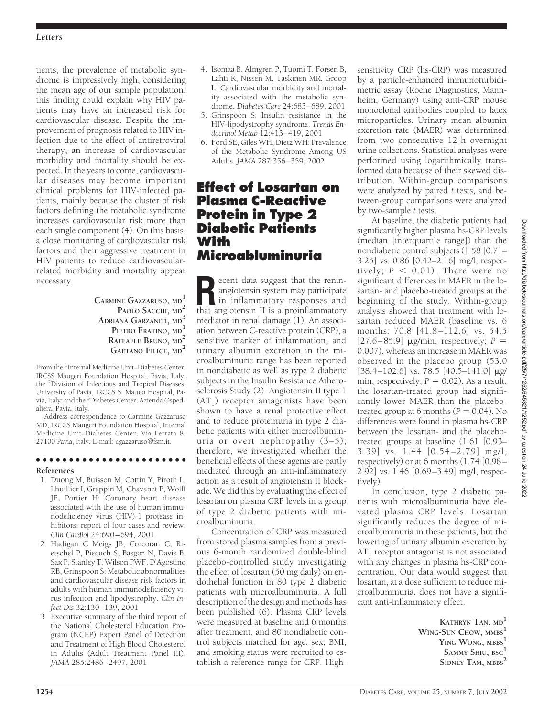tients, the prevalence of metabolic syndrome is impressively high, considering the mean age of our sample population; this finding could explain why HIV patients may have an increased risk for cardiovascular disease. Despite the improvement of prognosis related to HIV infection due to the effect of antiretroviral therapy, an increase of cardiovascular morbidity and mortality should be expected. In the years to come, cardiovascular diseases may become important clinical problems for HIV-infected patients, mainly because the cluster of risk factors defining the metabolic syndrome increases cardiovascular risk more than each single component (4). On this basis, a close monitoring of cardiovascular risk factors and their aggressive treatment in HIV patients to reduce cardiovascularrelated morbidity and mortality appear necessary.

> **CARMINE GAZZARUSO, MD<sup>1</sup> PAOLO SACCHI, MD<sup>2</sup> ADRIANA GARZANITI, MD<sup>3</sup> PIETRO FRATINO, MD<sup>1</sup> RAFFAELE BRUNO, MD<sup>2</sup> GAETANO FILICE, MD<sup>2</sup>**

From the <sup>1</sup>Internal Medicine Unit-Diabetes Center, IRCSS Maugeri Foundation Hospital, Pavia, Italy; the <sup>2</sup> Division of Infectious and Tropical Diseases, University of Pavia, IRCCS S. Matteo Hospital, Pavia, Italy; and the <sup>3</sup>Diabetes Center, Azienda Ospedaliera, Pavia, Italy.

Address correspondence to Carmine Gazzaruso MD, IRCCS Maugeri Foundation Hospital, Internal Medicine Unit–Diabetes Center, Via Ferrata 8, 27100 Pavia, Italy. E-mail: cgazzaruso@fsm.it.

### ●●●●●●●●●●●●●●●●●●●●●●●

#### **References**

- 1. Duong M, Buisson M, Cottin Y, Piroth L, Lhuillier I, Grappin M, Chavanet P, Wolff JE, Portier H: Coronary heart disease associated with the use of human immunodeficiency virus (HIV)-1 protease inhibitors: report of four cases and review. *Clin Cardiol* 24:690–694, 2001
- 2. Hadigan C Meigs JB, Corcoran C, Rietschel P, Piecuch S, Basgoz N, Davis B, Sax P, Stanley T, Wilson PWF, D'Agostino RB, Grinspoon S: Metabolic abnormalities and cardiovascular disease risk factors in adults with human immunodeficiency virus infection and lipodystrophy. *Clin Infect Dis* 32:130–139, 2001
- 3. Executive summary of the third report of the National Cholesterol Education Program (NCEP) Expert Panel of Detection and Treatment of High Blood Cholesterol in Adults (Adult Treatment Panel III). *JAMA* 285:2486–2497, 2001
- 4. Isomaa B, Almgren P, Tuomi T, Forsen B, Lahti K, Nissen M, Taskinen MR, Groop L: Cardiovascular morbidity and mortality associated with the metabolic syndrome. *Diabetes Care* 24:683–689, 2001
- 5. Grinspoon S: Insulin resistance in the HIV-lipodystrophy syndrome. *Trends Endocrinol Metab* 12:413–419, 2001
- 6. Ford SE, Giles WH, Dietz WH: Prevalence of the Metabolic Syndrome Among US Adults. *JAMA* 287:356–359, 2002

### **Effect of Losartan on Plasma C-Reactive Protein in Type 2 Diabetic Patients With Microabluminuria**

**Recent data suggest that the renin-<br>angiotensin system may participate<br>in inflammatory responses and<br>that angiotensin II is a proinflammatory** angiotensin system may participate in inflammatory responses and that angiotensin II is a proinflammatory mediator in renal damage (1). An association between C-reactive protein (CRP), a sensitive marker of inflammation, and urinary albumin excretion in the microalbuminuric range has been reported in nondiabetic as well as type 2 diabetic subjects in the Insulin Resistance Atherosclerosis Study (2). Angiotensin II type 1  $(AT<sub>1</sub>)$  receptor antagonists have been shown to have a renal protective effect and to reduce proteinuria in type 2 diabetic patients with either microalbuminuria or overt nephropathy (3–5); therefore, we investigated whether the beneficial effects of these agents are partly mediated through an anti-inflammatory action as a result of angiotensin II blockade. We did this by evaluating the effect of losartan on plasma CRP levels in a group of type 2 diabetic patients with microalbuminuria.

Concentration of CRP was measured from stored plasma samples from a previous 6-month randomized double-blind placebo-controlled study investigating the effect of losartan (50 mg daily) on endothelial function in 80 type 2 diabetic patients with microalbuminuria. A full description of the design and methods has been published (6). Plasma CRP levels were measured at baseline and 6 months after treatment, and 80 nondiabetic control subjects matched for age, sex, BMI, and smoking status were recruited to establish a reference range for CRP. Highsensitivity CRP (hs-CRP) was measured by a particle-enhanced immunoturbidimetric assay (Roche Diagnostics, Mannheim, Germany) using anti-CRP mouse monoclonal antibodies coupled to latex microparticles. Urinary mean albumin excretion rate (MAER) was determined from two consecutive 12-h overnight urine collections. Statistical analyses were performed using logarithmically transformed data because of their skewed distribution. Within-group comparisons were analyzed by paired *t* tests, and between-group comparisons were analyzed by two-sample *t* tests.

At baseline, the diabetic patients had significantly higher plasma hs-CRP levels (median [interquartile range]) than the nondiabetic control subjects (1.58 [0.71– 3.25] vs. 0.86 [0.42–2.16] mg/l, respectively;  $P < 0.01$ ). There were no significant differences in MAER in the losartan- and placebo-treated groups at the beginning of the study. Within-group analysis showed that treatment with losartan reduced MAER (baseline vs. 6 months: 70.8 [41.8 –112.6] vs. 54.5 [27.6–85.9]  $\mu$ g/min, respectively;  $P =$ 0.007), whereas an increase in MAER was observed in the placebo group (53.0 [38.4–102.6] vs. 78.5 [40.5–141.0]  $\mu$ g/ min, respectively;  $P = 0.02$ ). As a result, the losartan-treated group had significantly lower MAER than the placebotreated group at  $6$  months ( $P = 0.04$ ). No differences were found in plasma hs-CRP between the losartan- and the placebotreated groups at baseline (1.61 [0.93– 3.39] vs. 1.44 [0.54 –2.79] mg/l, respectively) or at 6 months (1.74 [0.98– 2.92] vs. 1.46 [0.69–3.49] mg/l, respectively).

In conclusion, type 2 diabetic patients with microalbuminuria have elevated plasma CRP levels. Losartan significantly reduces the degree of microalbuminuria in these patients, but the lowering of urinary albumin excretion by  $AT<sub>1</sub>$  receptor antagonist is not associated with any changes in plasma hs-CRP concentration. Our data would suggest that losartan, at a dose sufficient to reduce microalbuminuria, does not have a significant anti-inflammatory effect.

> **KATHRYN TAN, MD<sup>1</sup> WING-SUN CHOW, MMBS<sup>1</sup> YING WONG, MBBS<sup>1</sup> SAMMY SHIU, BSC<sup>1</sup> SIDNEY TAM, MBBS<sup>2</sup>**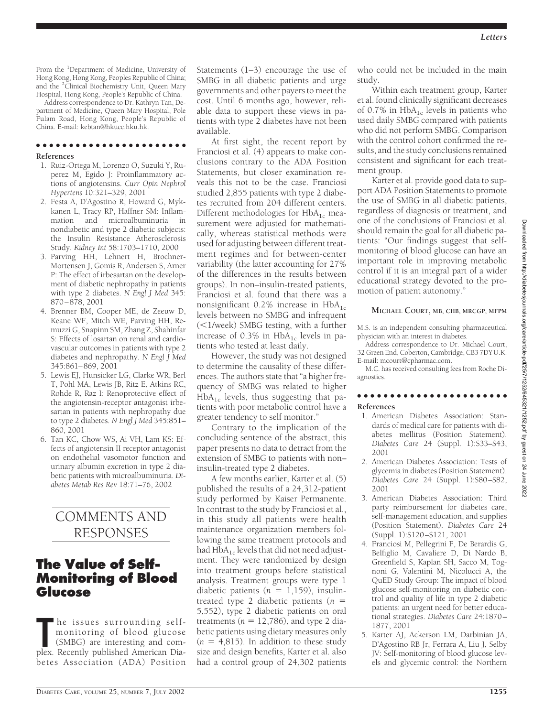From the <sup>1</sup>Department of Medicine, University of Hong Kong, Hong Kong, Peoples Republic of China; and the <sup>2</sup>Clinical Biochemistry Unit, Queen Mary Hospital, Hong Kong, People's Republic of China.

Address correspondence to Dr. Kathryn Tan, Department of Medicine, Queen Mary Hospital, Pole Fulam Road, Hong Kong, People's Republic of China. E-mail: kebtan@hkucc.hku.hk.

### ●●●●●●●●●●●●●●●●●●●●●●●

#### **References**

- 1. Ruiz-Ortega M, Lorenzo O, Suzuki Y, Ruperez M, Egido J: Proinflammatory actions of angiotensins. *Curr Opin Nephrol Hypertens* 10:321–329, 2001
- 2. Festa A, D'Agostino R, Howard G, Mykkanen L, Tracy RP, Haffner SM: Inflammation and microalbuminuria in nondiabetic and type 2 diabetic subjects: the Insulin Resistance Atherosclerosis Study. *Kidney Int* 58:1703–1710, 2000
- 3. Parving HH, Lehnert H, Brochner-Mortensen J, Gomis R, Andersen S, Arner P: The effect of irbesartan on the development of diabetic nephropathy in patients with type 2 diabetes. *N Engl J Med* 345: 870–878, 2001
- 4. Brenner BM, Cooper ME, de Zeeuw D, Keane WF, Mitch WE, Parving HH, Remuzzi G, Snapinn SM, Zhang Z, Shahinfar S: Effects of losartan on renal and cardiovascular outcomes in patients with type 2 diabetes and nephropathy. *N Engl J Med* 345:861–869, 2001
- 5. Lewis EJ, Hunsicker LG, Clarke WR, Berl T, Pohl MA, Lewis JB, Ritz E, Atkins RC, Rohde R, Raz I: Renoprotective effect of the angiotensin-receptor antagonist irbesartan in patients with nephropathy due to type 2 diabetes. *N Engl J Med* 345:851– 860, 2001
- 6. Tan KC, Chow WS, Ai VH, Lam KS: Effects of angiotensin II receptor antagonist on endothelial vasomotor function and urinary albumin excretion in type 2 diabetic patients with microalbuminuria. *Diabetes Metab Res Rev* 18:71–76, 2002

# COMMENTS AND RESPONSES

## **The Value of Self-Monitoring of Blood Glucose**

The issues surrounding self-<br>
monitoring of blood glucose<br>
(SMBG) are interesting and com-<br>
plex. Recently published American Diahe issues surrounding selfmonitoring of blood glucose (SMBG) are interesting and combetes Association (ADA) Position

Statements (1–3) encourage the use of SMBG in all diabetic patients and urge governments and other payers to meet the cost. Until 6 months ago, however, reliable data to support these views in patients with type 2 diabetes have not been available.

At first sight, the recent report by Franciosi et al. (4) appears to make conclusions contrary to the ADA Position Statements, but closer examination reveals this not to be the case. Franciosi studied 2,855 patients with type 2 diabetes recruited from 204 different centers. Different methodologies for  $HbA_{1c}$  measurement were adjusted for mathematically, whereas statistical methods were used for adjusting between different treatment regimes and for between-center variability (the latter accounting for 27% of the differences in the results between groups). In non–insulin-treated patients, Franciosi et al. found that there was a nonsignificant  $0.2\%$  increase in  $HbA_{1c}$ levels between no SMBG and infrequent  $(<$ 1/week) SMBG testing, with a further increase of 0.3% in  $HbA_{1c}$  levels in patients who tested at least daily.

However, the study was not designed to determine the causality of these differences. The authors state that "a higher frequency of SMBG was related to higher  $HbA_{1c}$  levels, thus suggesting that patients with poor metabolic control have a greater tendency to self monitor."

Contrary to the implication of the concluding sentence of the abstract, this paper presents no data to detract from the extension of SMBG to patients with non– insulin-treated type 2 diabetes.

A few months earlier, Karter et al. (5) published the results of a 24,312-patient study performed by Kaiser Permanente. In contrast to the study by Franciosi et al., in this study all patients were health maintenance organization members following the same treatment protocols and had  $HbA_{1c}$  levels that did not need adjustment. They were randomized by design into treatment groups before statistical analysis. Treatment groups were type 1 diabetic patients  $(n = 1,159)$ , insulintreated type 2 diabetic patients  $(n =$ 5,552), type 2 diabetic patients on oral treatments ( $n = 12,786$ ), and type 2 diabetic patients using dietary measures only  $(n = 4,815)$ . In addition to these study size and design benefits, Karter et al. also had a control group of 24,302 patients who could not be included in the main study.

Within each treatment group, Karter et al. found clinically significant decreases of 0.7% in  $HbA_{1c}$  levels in patients who used daily SMBG compared with patients who did not perform SMBG. Comparison with the control cohort confirmed the results, and the study conclusions remained consistent and significant for each treatment group.

Karter et al. provide good data to support ADA Position Statements to promote the use of SMBG in all diabetic patients, regardless of diagnosis or treatment, and one of the conclusions of Franciosi et al. should remain the goal for all diabetic patients: "Our findings suggest that selfmonitoring of blood glucose can have an important role in improving metabolic control if it is an integral part of a wider educational strategy devoted to the promotion of patient autonomy."

#### **MICHAEL COURT, MB, CHB, MRCGP, MFPM**

M.S. is an independent consulting pharmaceutical physician with an interest in diabetes.

Address correspondence to Dr. Michael Court, 32 Green End, Coberton, Cambridge, CB3 7DY U.K. E-mail: mcourt@cpharmac.com.

M.C. has received consulting fees from Roche Diagnostics.

### ●●●●●●●●●●●●●●●●●●●●●●● **References**

- 1. American Diabetes Association: Standards of medical care for patients with diabetes mellitus (Position Statement). *Diabetes Care* 24 (Suppl. 1):S33–S43, 2001
- 2. American Diabetes Association: Tests of glycemia in diabetes (Position Statement). *Diabetes Care* 24 (Suppl. 1):S80–S82, 2001
- 3. American Diabetes Association: Third party reimbursement for diabetes care, self-management education, and supplies (Position Statement). *Diabetes Care* 24 (Suppl. 1):S120–S121, 2001
- 4. Franciosi M, Pellegrini F, De Berardis G, Belfiglio M, Cavaliere D, Di Nardo B, Greenfield S, Kaplan SH, Sacco M, Tognoni G, Valentini M, Nicolucci A, the QuED Study Group: The impact of blood glucose self-monitoring on diabetic control and quality of life in type 2 diabetic patients: an urgent need for better educational strategies. *Diabetes Care* 24:1870– 1877, 2001
- 5. Karter AJ, Ackerson LM, Darbinian JA, D'Agostino RB Jr, Ferrara A, Liu J, Selby JV: Self-monitoring of blood glucose levels and glycemic control: the Northern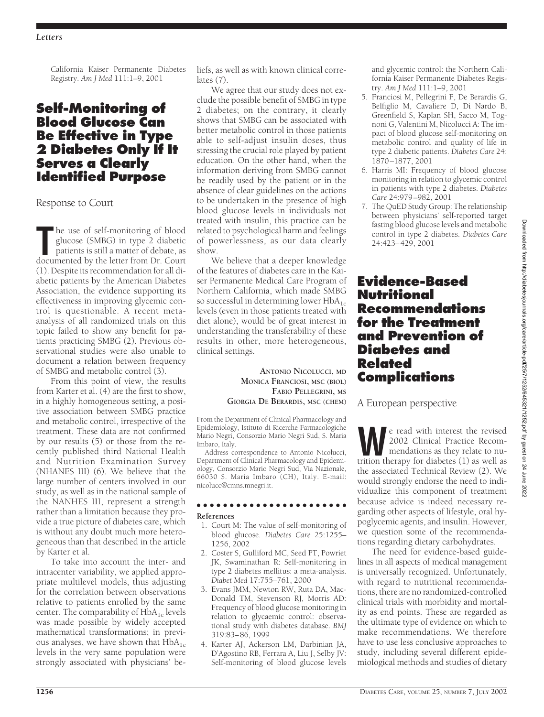California Kaiser Permanente Diabetes Registry. *Am J Med* 111:1–9, 2001

### **Self-Monitoring of Blood Glucose Can Be Effective in Type 2 Diabetes Only If It Serves a Clearly Identified Purpose**

Response to Court

The use of self-monitoring of blood glucose (SMBG) in type 2 diabetic patients is still a matter of debate, as documented by the letter from Dr. Court he use of self-monitoring of blood glucose (SMBG) in type 2 diabetic patients is still a matter of debate, as (1). Despite its recommendation for all diabetic patients by the American Diabetes Association, the evidence supporting its effectiveness in improving glycemic control is questionable. A recent metaanalysis of all randomized trials on this topic failed to show any benefit for patients practicing SMBG (2). Previous observational studies were also unable to document a relation between frequency of SMBG and metabolic control (3).

From this point of view, the results from Karter et al. (4) are the first to show, in a highly homogeneous setting, a positive association between SMBG practice and metabolic control, irrespective of the treatment. These data are not confirmed by our results (5) or those from the recently published third National Health and Nutrition Examination Survey (NHANES III) (6). We believe that the large number of centers involved in our study, as well as in the national sample of the NANHES III, represent a strength rather than a limitation because they provide a true picture of diabetes care, which is without any doubt much more heterogeneous than that described in the article by Karter et al.

To take into account the inter- and intracenter variability, we applied appropriate multilevel models, thus adjusting for the correlation between observations relative to patients enrolled by the same center. The comparability of  $HbA_{1c}$  levels was made possible by widely accepted mathematical transformations; in previous analyses, we have shown that  $HbA_{1c}$ levels in the very same population were strongly associated with physicians' beliefs, as well as with known clinical correlates (7).

We agree that our study does not exclude the possible benefit of SMBG in type 2 diabetes; on the contrary, it clearly shows that SMBG can be associated with better metabolic control in those patients able to self-adjust insulin doses, thus stressing the crucial role played by patient education. On the other hand, when the information deriving from SMBG cannot be readily used by the patient or in the absence of clear guidelines on the actions to be undertaken in the presence of high blood glucose levels in individuals not treated with insulin, this practice can be related to psychological harm and feelings of powerlessness, as our data clearly show.

We believe that a deeper knowledge of the features of diabetes care in the Kaiser Permanente Medical Care Program of Northern California, which made SMBG so successful in determining lower  $HbA_{1c}$ levels (even in those patients treated with diet alone), would be of great interest in understanding the transferability of these results in other, more heterogeneous, clinical settings.

> **ANTONIO NICOLUCCI, MD MONICA FRANCIOSI, MSC (BIOL) FABIO PELLEGRINI, MS GIORGIA DE BERARDIS, MSC (CHEM)**

From the Department of Clinical Pharmacology and Epidemiology, Istituto di Ricerche Farmacologiche Mario Negri, Consorzio Mario Negri Sud, S. Maria Imbaro, Italy.

Address correspondence to Antonio Nicolucci, Department of Clinical Pharmacology and Epidemiology, Consorzio Mario Negri Sud, Via Nazionale, 66030 S. Maria Imbaro (CH), Italy. E-mail: nicolucc@cmns.mnegri.it.

### ●●●●●●●●●●●●●●●●●●●●●●●

#### **References**

- 1. Court M: The value of self-monitoring of blood glucose. *Diabetes Care* 25:1255– 1256, 2002
- 2. Coster S, Gulliford MC, Seed PT, Powriet JK, Swaminathan R: Self-monitoring in type 2 diabetes mellitus: a meta-analysis. *Diabet Med* 17:755–761, 2000
- 3. Evans JMM, Newton RW, Ruta DA, Mac-Donald TM, Stevenson RJ, Morris AD: Frequency of blood glucose monitoring in relation to glycaemic control: observational study with diabetes database. *BMJ* 319:83–86, 1999
- 4. Karter AJ, Ackerson LM, Darbinian JA, D'Agostino RB, Ferrara A, Liu J, Selby JV: Self-monitoring of blood glucose levels

and glycemic control: the Northern California Kaiser Permanente Diabetes Registry. *Am J Med* 111:1–9, 2001

- 5. Franciosi M, Pellegrini F, De Berardis G, Belfiglio M, Cavaliere D, Di Nardo B, Greenfield S, Kaplan SH, Sacco M, Tognoni G, Valentini M, Nicolucci A: The impact of blood glucose self-monitoring on metabolic control and quality of life in type 2 diabetic patients. *Diabetes Care* 24: 1870–1877, 2001
- 6. Harris MI: Frequency of blood glucose monitoring in relation to glycemic control in patients with type 2 diabetes. *Diabetes Care* 24:979–982, 2001
- 7. The QuED Study Group: The relationship between physicians' self-reported target fasting blood glucose levels and metabolic control in type 2 diabetes. *Diabetes Care* 24:423–429, 2001

### **Evidence-Based Nutritional Recommendations for the Treatment and Prevention of Diabetes and Related Complications**

A European perspective

e read with interest the revised<br>2002 Clinical Practice Recom-<br>mendations as they relate to nu-<br>trition therapy for diabetes (1) as well as 2002 Clinical Practice Recommendations as they relate to nutrition therapy for diabetes (1) as well as the associated Technical Review (2). We would strongly endorse the need to individualize this component of treatment because advice is indeed necessary regarding other aspects of lifestyle, oral hypoglycemic agents, and insulin. However, we question some of the recommendations regarding dietary carbohydrates.

The need for evidence-based guidelines in all aspects of medical management is universally recognized. Unfortunately, with regard to nutritional recommendations, there are no randomized-controlled clinical trials with morbidity and mortality as end points. These are regarded as the ultimate type of evidence on which to make recommendations. We therefore have to use less conclusive approaches to study, including several different epidemiological methods and studies of dietary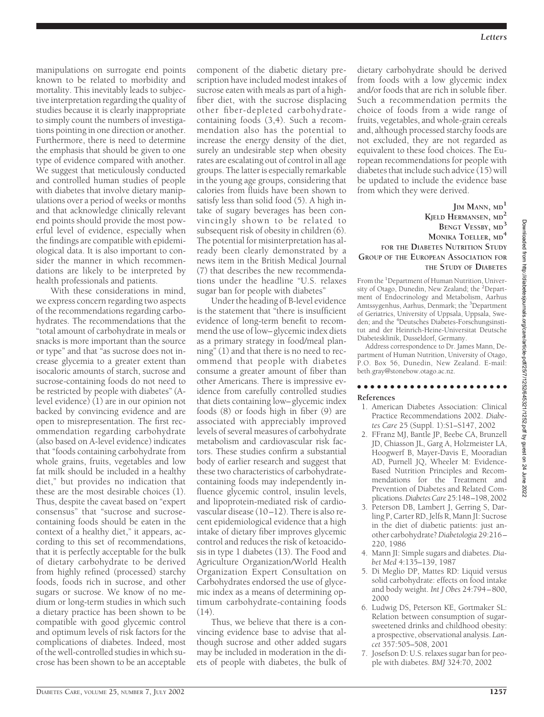manipulations on surrogate end points known to be related to morbidity and mortality. This inevitably leads to subjective interpretation regarding the quality of studies because it is clearly inappropriate to simply count the numbers of investigations pointing in one direction or another. Furthermore, there is need to determine the emphasis that should be given to one type of evidence compared with another. We suggest that meticulously conducted and controlled human studies of people with diabetes that involve dietary manipulations over a period of weeks or months and that acknowledge clinically relevant end points should provide the most powerful level of evidence, especially when the findings are compatible with epidemiological data. It is also important to consider the manner in which recommendations are likely to be interpreted by health professionals and patients.

With these considerations in mind, we express concern regarding two aspects of the recommendations regarding carbohydrates. The recommendations that the "total amount of carbohydrate in meals or snacks is more important than the source or type" and that "as sucrose does not increase glycemia to a greater extent than isocaloric amounts of starch, sucrose and sucrose-containing foods do not need to be restricted by people with diabetes" (Alevel evidence) (1) are in our opinion not backed by convincing evidence and are open to misrepresentation. The first recommendation regarding carbohydrate (also based on A-level evidence) indicates that "foods containing carbohydrate from whole grains, fruits, vegetables and low fat milk should be included in a healthy diet," but provides no indication that these are the most desirable choices (1). Thus, despite the caveat based on "expert consensus" that "sucrose and sucrosecontaining foods should be eaten in the context of a healthy diet," it appears, according to this set of recommendations, that it is perfectly acceptable for the bulk of dietary carbohydrate to be derived from highly refined (processed) starchy foods, foods rich in sucrose, and other sugars or sucrose. We know of no medium or long-term studies in which such a dietary practice has been shown to be compatible with good glycemic control and optimum levels of risk factors for the complications of diabetes. Indeed, most of the well-controlled studies in which sucrose has been shown to be an acceptable

component of the diabetic dietary prescription have included modest intakes of sucrose eaten with meals as part of a highfiber diet, with the sucrose displacing other fiber-depleted carbohydratecontaining foods (3,4). Such a recommendation also has the potential to increase the energy density of the diet, surely an undesirable step when obesity rates are escalating out of control in all age groups. The latter is especially remarkable in the young age groups, considering that calories from fluids have been shown to satisfy less than solid food (5). A high intake of sugary beverages has been convincingly shown to be related to subsequent risk of obesity in children (6). The potential for misinterpretation has already been clearly demonstrated by a news item in the British Medical Journal (7) that describes the new recommendations under the headline "U.S. relaxes sugar ban for people with diabetes"

Under the heading of B-level evidence is the statement that "there is insufficient evidence of long-term benefit to recommend the use of low–glycemic index diets as a primary strategy in food/meal planning" (1) and that there is no need to recommend that people with diabetes consume a greater amount of fiber than other Americans. There is impressive evidence from carefully controlled studies that diets containing low–glycemic index foods (8) or foods high in fiber (9) are associated with appreciably improved levels of several measures of carbohydrate metabolism and cardiovascular risk factors. These studies confirm a substantial body of earlier research and suggest that these two characteristics of carbohydratecontaining foods may independently influence glycemic control, insulin levels, and lipoprotein-mediated risk of cardiovascular disease (10–12). There is also recent epidemiological evidence that a high intake of dietary fiber improves glycemic control and reduces the risk of ketoacidosis in type 1 diabetes (13). The Food and Agriculture Organization/World Health Organization Expert Consultation on Carbohydrates endorsed the use of glycemic index as a means of determining optimum carbohydrate-containing foods (14).

Thus, we believe that there is a convincing evidence base to advise that although sucrose and other added sugars may be included in moderation in the diets of people with diabetes, the bulk of dietary carbohydrate should be derived from foods with a low glycemic index and/or foods that are rich in soluble fiber. Such a recommendation permits the choice of foods from a wide range of fruits, vegetables, and whole-grain cereals and, although processed starchy foods are not excluded, they are not regarded as equivalent to these food choices. The European recommendations for people with diabetes that include such advice (15) will be updated to include the evidence base from which they were derived.

### **JIM MANN, MD<sup>1</sup> KJELD HERMANSEN, MD<sup>2</sup> BENGT VESSBY, MD<sup>3</sup> MONIKA TOELLER, MD<sup>4</sup> FOR THE DIABETES NUTRITION STUDY GROUP OF THE EUROPEAN ASSOCIATION FOR THE STUDY OF DIABETES**

From the <sup>1</sup>Department of Human Nutrition, University of Otago, Dunedin, New Zealand; the <sup>2</sup>Department of Endocrinology and Metabolism, Aarhus Amtssygenhus, Aarhus, Denmark; the <sup>3</sup>Department of Geriatrics, University of Uppsala, Uppsala, Sweden; and the <sup>4</sup> Deutsches Diabetes-Forschungsinstitut and der Heinrich-Heine-Universitat Deutsche Diabetesklinik, Dusseldorf, Germany.

Address correspondence to Dr. James Mann, Department of Human Nutrition, University of Otago, P.O. Box 56, Dunedin, New Zealand. E-mail: beth.gray@stonebow.otago.ac.nz.

#### ●●●●●●●●●●●●●●●●●●●●●●● **References**

- 1. American Diabetes Association: Clinical Practice Recommendations 2002. *Diabetes Care* 25 (Suppl. 1):S1–S147, 2002
- 2. FFranz MJ, Bantle JP, Beebe CA, Brunzell JD, Chiasson JL, Garg A, Holzmeister LA, Hoogwerf B, Mayer-Davis E, Mooradian AD, Purnell JQ, Wheeler M: Evidence-Based Nutrition Principles and Recommendations for the Treatment and Prevention of Diabetes and Related Complications.*Diabetes Care* 25:148–198, 2002
- 3. Peterson DB, Lambert J, Gerring S, Darling P, Carter RD, Jelfs R, Mann JI: Sucrose in the diet of diabetic patients: just another carbohydrate? *Diabetologia* 29:216– 220, 1986
- 4. Mann JI: Simple sugars and diabetes. *Diabet Med* 4:135–139, 1987
- 5. Di Meglio DP, Mattes RD: Liquid versus solid carbohydrate: effects on food intake and body weight. *Int J Obes* 24:794–800, 2000
- 6. Ludwig DS, Peterson KE, Gortmaker SL: Relation between consumption of sugarsweetened drinks and childhood obesity: a prospective, observational analysis. *Lancet* 357:505–508, 2001
- 7. Josefson D: U.S. relaxes sugar ban for people with diabetes. *BMJ* 324:70, 2002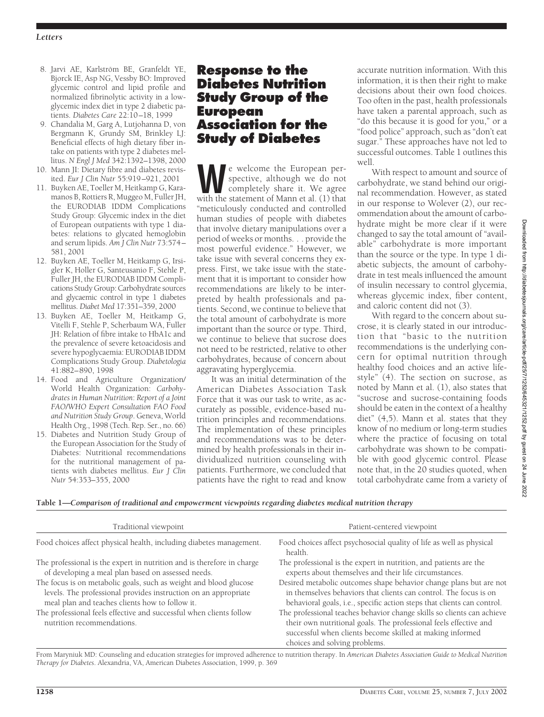- 8. Jarvi AE, Karlström BE, Granfeldt YE, Bjorck IE, Asp NG, Vessby BO: Improved glycemic control and lipid profile and normalized fibrinolytic activity in a lowglycemic index diet in type 2 diabetic patients. *Diabetes Care* 22:10–18, 1999
- 9. Chandalia M, Garg A, Lutjohanna D, von Bergmann K, Grundy SM, Brinkley LJ: Beneficial effects of high dietary fiber intake on patients with type 2 diabetes mellitus. *N Engl J Med* 342:1392–1398, 2000
- 10. Mann JI: Dietary fibre and diabetes revisited. *Eur J Clin Nutr* 55:919–921, 2001
- 11. Buyken AE, Toeller M, Heitkamp G, Karamanos B, Rottiers R, Muggeo M, Fuller JH, the EURODIAB IDDM Complications Study Group: Glycemic index in the diet of European outpatients with type 1 diabetes: relations to glycated hemoglobin and serum lipids. *Am J Clin Nutr* 73:574– 581, 2001
- 12. Buyken AE, Toeller M, Heitkamp G, Irsigler K, Holler G, Santeusanio F, Stehle P, Fuller JH, the EURODIAB IDDM Complications Study Group: Carbohydrate sources and glycaemic control in type 1 diabetes mellitus. *Diabet Med* 17:351–359, 2000
- 13. Buyken AE, Toeller M, Heitkamp G, Vitelli F, Stehle P, Scherbaum WA, Fuller JH: Relation of fibre intake to HbA1c and the prevalence of severe ketoacidosis and severe hypoglycaemia: EURODIAB IDDM Complications Study Group. *Diabetologia* 41:882–890, 1998
- 14. Food and Agriculture Organization/ World Health Organization: *Carbohydrates in Human Nutrition*: *Report of a Joint FAO/WHO Expert Consultation FAO Food and Nutrition Study Group*. Geneva, World Health Org., 1998 (Tech. Rep. Ser., no. 66)
- 15. Diabetes and Nutrition Study Group of the European Association for the Study of Diabetes: Nutritional recommendations for the nutritional management of patients with diabetes mellitus. *Eur J Clin Nutr* 54:353–355, 2000

### **Response to the Diabetes Nutrition Study Group of the European Association for the Study of Diabetes**

**We welcome the European per-**<br>spective, although we do not<br>completely share it. We agree<br>with the statement of Mann et al. (1) that spective, although we do not with the statement of Mann et al. (1) that "meticulously conducted and controlled human studies of people with diabetes that involve dietary manipulations over a period of weeks or months. . . provide the most powerful evidence." However, we take issue with several concerns they express. First, we take issue with the statement that it is important to consider how recommendations are likely to be interpreted by health professionals and patients. Second, we continue to believe that the total amount of carbohydrate is more important than the source or type. Third, we continue to believe that sucrose does not need to be restricted, relative to other carbohydrates, because of concern about aggravating hyperglycemia.

It was an initial determination of the American Diabetes Association Task Force that it was our task to write, as accurately as possible, evidence-based nutrition principles and recommendations. The implementation of these principles and recommendations was to be determined by health professionals in their individualized nutrition counseling with patients. Furthermore, we concluded that patients have the right to read and know

accurate nutrition information. With this information, it is then their right to make decisions about their own food choices. Too often in the past, health professionals have taken a parental approach, such as "do this because it is good for you," or a "food police" approach, such as "don't eat sugar." These approaches have not led to successful outcomes. Table 1 outlines this  $w^{2}$ 

With respect to amount and source of carbohydrate, we stand behind our original recommendation. However, as stated in our response to Wolever (2), our recommendation about the amount of carbohydrate might be more clear if it were changed to say the total amount of "available" carbohydrate is more important than the source or the type. In type 1 diabetic subjects, the amount of carbohydrate in test meals influenced the amount of insulin necessary to control glycemia, whereas glycemic index, fiber content, and caloric content did not (3).

With regard to the concern about sucrose, it is clearly stated in our introduction that "basic to the nutrition recommendations is the underlying concern for optimal nutrition through healthy food choices and an active lifestyle" (4). The section on sucrose, as noted by Mann et al. (1), also states that "sucrose and sucrose-containing foods should be eaten in the context of a healthy diet" (4,5). Mann et al. states that they know of no medium or long-term studies where the practice of focusing on total carbohydrate was shown to be compatible with good glycemic control. Please note that, in the 20 studies quoted, when total carbohydrate came from a variety of

### **Table 1—***Comparison of traditional and empowerment viewpoints regarding diabetes medical nutrition therapy*

| Traditional viewpoint                                                                                                                                                                   | Patient-centered viewpoint                                                                                                                                                                                                                |
|-----------------------------------------------------------------------------------------------------------------------------------------------------------------------------------------|-------------------------------------------------------------------------------------------------------------------------------------------------------------------------------------------------------------------------------------------|
| Food choices affect physical health, including diabetes management.                                                                                                                     | Food choices affect psychosocial quality of life as well as physical<br>health.                                                                                                                                                           |
| The professional is the expert in nutrition and is therefore in charge<br>of developing a meal plan based on assessed needs.                                                            | The professional is the expert in nutrition, and patients are the<br>experts about themselves and their life circumstances.                                                                                                               |
| The focus is on metabolic goals, such as weight and blood glucose<br>levels. The professional provides instruction on an appropriate<br>meal plan and teaches clients how to follow it. | Desired metabolic outcomes shape behavior change plans but are not<br>in themselves behaviors that clients can control. The focus is on<br>behavioral goals, i.e., specific action steps that clients can control.                        |
| The professional feels effective and successful when clients follow<br>nutrition recommendations.                                                                                       | The professional teaches behavior change skills so clients can achieve<br>their own nutritional goals. The professional feels effective and<br>successful when clients become skilled at making informed<br>choices and solving problems. |

From Maryniuk MD: Counseling and education strategies for improved adherence to nutrition therapy. In *American Diabetes Association Guide to Medical Nutrition Therapy for Diabetes*. Alexandria, VA, American Diabetes Association, 1999, p. 369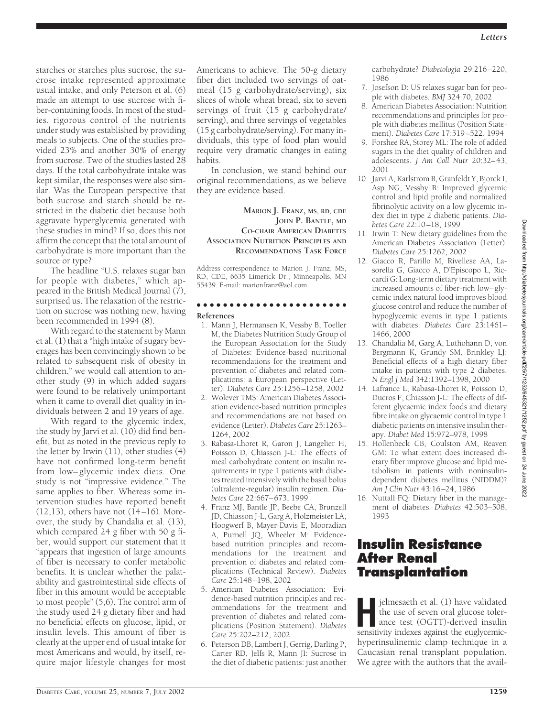starches or starches plus sucrose, the sucrose intake represented approximate usual intake, and only Peterson et al. (6) made an attempt to use sucrose with fiber-containing foods. In most of the studies, rigorous control of the nutrients under study was established by providing meals to subjects. One of the studies provided 23% and another 30% of energy from sucrose. Two of the studies lasted 28 days. If the total carbohydrate intake was kept similar, the responses were also similar. Was the European perspective that both sucrose and starch should be restricted in the diabetic diet because both aggravate hyperglycemia generated with these studies in mind? If so, does this not affirm the concept that the total amount of carbohydrate is more important than the source or type?

The headline "U.S. relaxes sugar ban for people with diabetes," which appeared in the British Medical Journal (7), surprised us. The relaxation of the restriction on sucrose was nothing new, having been recommended in 1994 (8).

With regard to the statement by Mann et al. (1) that a "high intake of sugary beverages has been convincingly shown to be related to subsequent risk of obesity in children," we would call attention to another study (9) in which added sugars were found to be relatively unimportant when it came to overall diet quality in individuals between 2 and 19 years of age.

With regard to the glycemic index, the study by Jarvi et al. (10) did find benefit, but as noted in the previous reply to the letter by Irwin (11), other studies (4) have not confirmed long-term benefit from low-glycemic index diets. One study is not "impressive evidence." The same applies to fiber. Whereas some intervention studies have reported benefit (12,13), others have not (14–16). Moreover, the study by Chandalia et al. (13), which compared 24 g fiber with 50 g fiber, would support our statement that it "appears that ingestion of large amounts of fiber is necessary to confer metabolic benefits. It is unclear whether the palatability and gastrointestinal side effects of fiber in this amount would be acceptable to most people" (5,6). The control arm of the study used 24 g dietary fiber and had no beneficial effects on glucose, lipid, or insulin levels. This amount of fiber is clearly at the upper end of usual intake for most Americans and would, by itself, require major lifestyle changes for most

Americans to achieve. The 50-g dietary fiber diet included two servings of oatmeal (15 g carbohydrate/serving), six slices of whole wheat bread, six to seven servings of fruit (15 g carbohydrate/ serving), and three servings of vegetables (15 g carbohydrate/serving). For many individuals, this type of food plan would require very dramatic changes in eating habits.

In conclusion, we stand behind our original recommendations, as we believe they are evidence based.

### **MARION J. FRANZ, MS, RD, CDE JOHN P. BANTLE, MD CO-CHAIR AMERICAN DIABETES ASSOCIATION NUTRITION PRINCIPLES AND RECOMMENDATIONS TASK FORCE**

Address correspondence to Marion J. Franz, MS, RD, CDE, 6635 Limerick Dr., Minneapolis, MN 55439. E-mail: marionfranz@aol.com.

#### ●●●●●●●●●●●●●●●●●●●●●●● **References**

- 1. Mann J, Hermansen K, Vessby B, Toeller M, the Diabetes Nutrition Study Group of the European Association for the Study of Diabetes: Evidence-based nutritional recommendations for the treatment and prevention of diabetes and related complications: a European perspective (Letter). *Diabetes Care* 25:1256–1258, 2002
- 2. Wolever TMS: American Diabetes Association evidence-based nutrition principles and recommendations are not based on evidence (Letter). *Diabetes Care* 25:1263– 1264, 2002
- 3. Rabasa-Lhoret R, Garon J, Langelier H, Poisson D, Chiasson J-L: The effects of meal carbohydrate content on insulin requirements in type 1 patients with diabetes treated intensively with the basal bolus (ultralente-regular) insulin regimen. *Diabetes Care* 22:667–673, 1999
- 4. Franz MJ, Bantle JP, Beebe CA, Brunzell JD, Chiasson J-L, Garg A, Holzmeister LA, Hoogwerf B, Mayer-Davis E, Mooradian A, Purnell JQ, Wheeler M: Evidencebased nutrition principles and recommendations for the treatment and prevention of diabetes and related complications (Technical Review). *Diabetes Care* 25:148–198, 2002
- 5. American Diabetes Association: Evidence-based nutrition principles and recommendations for the treatment and prevention of diabetes and related complications (Position Statement). *Diabetes Care* 25:202–212, 2002
- 6. Peterson DB, Lambert J, Gerrig, Darling P, Carter RD, Jelfs R, Mann JI: Sucrose in the diet of diabetic patients: just another

carbohydrate? *Diabetologia* 29:216–220, 1986

- 7. Josefson D: US relaxes sugar ban for people with diabetes. *BMJ* 324:70, 2002
- 8. American Diabetes Association: Nutrition recommendations and principles for people with diabetes mellitus (Position Statement). *Diabetes Care* 17:519–522, 1994
- 9. Forshee RA, Storey ML: The role of added sugars in the diet quality of children and adolescents. *J Am Coll Nutr* 20:32–43, 2001
- 10. Jarvi A, Karlstrom B, Granfeldt Y, Bjorck I, Asp NG, Vessby B: Improved glycemic control and lipid profile and normalized fibrinolytic activity on a low glycemic index diet in type 2 diabetic patients. *Diabetes Care* 22:10–18, 1999
- 11. Irwin T: New dietary guidelines from the American Diabetes Association (Letter). *Diabetes Care* 25:1262, 2002
- 12. Giacco R, Parillo M, Rivellese AA, Lasorella G, Giacco A, D'Episcopo L, Riccardi G: Long-term dietary treatment with increased amounts of fiber-rich low–glycemic index natural food improves blood glucose control and reduce the number of hypoglycemic events in type 1 patients with diabetes. *Diabetes Care* 23:1461– 1466, 2000
- 13. Chandalia M, Garg A, Luthohann D, von Bergmann K, Grundy SM, Brinkley LJ: Beneficial effects of a high dietary fiber intake in patients with type 2 diabetes. *N Engl J Med* 342:1392–1398, 2000
- 14. Lafrance L, Rabasa-Lhoret R, Poisson D, Ducros F, Chiasson J-L: The effects of different glycaemic index foods and dietary fibre intake on glycaemic control in type 1 diabetic patients on intensive insulin therapy. *Diabet Med* 15:972–978, 1998
- 15. Hollenbeck CB, Coulston AM, Reaven GM: To what extent does increased dietary fiber improve glucose and lipid metabolism in patients with noninsulindependent diabetes mellitus (NIDDM)? *Am J Clin Nutr* 43:16–24, 1986
- 16. Nuttall FQ: Dietary fiber in the management of diabetes. *Diabetes* 42:503–508, 1993

# **Insulin Resistance After Renal Transplantation**

**Helmesaeth et al. (1) have validated<br>the use of seven oral glucose toler-<br>ance test (OGTT)-derived insulin<br>sensitivity indexes against the euglycemic**the use of seven oral glucose tolersensitivity indexes against the euglycemichyperinsulinemic clamp technique in a Caucasian renal transplant population. We agree with the authors that the avail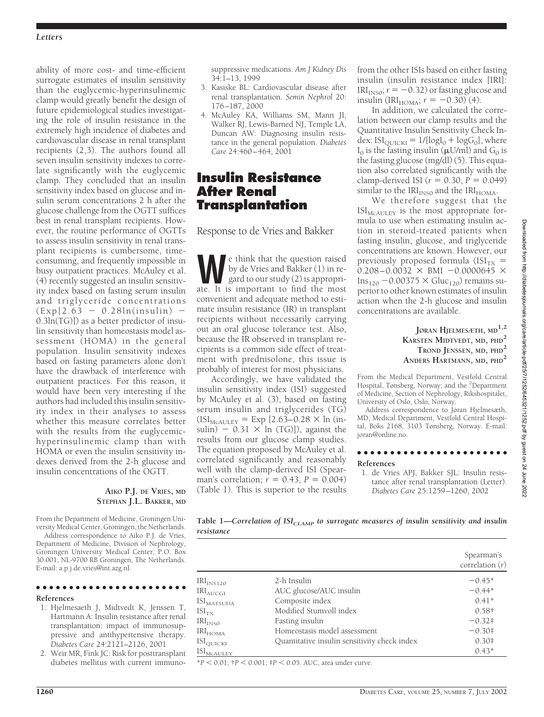ability of more cost- and time-efficient surrogate estimates of insulin sensitivity than the euglycemic-hyperinsulinemic clamp would greatly benefit the design of future epidemiological studies investigating the role of insulin resistance in the extremely high incidence of diabetes and cardiovascular disease in renal transplant recipients (2,3). The authors found all seven insulin sensitivity indexes to correlate significantly with the euglycemic clamp. They concluded that an insulin sensitivity index based on glucose and insulin serum concentrations 2 h after the glucose challenge from the OGTT suffices best in renal transplant recipients. However, the routine performance of OGTTs to assess insulin sensitivity in renal transplant recipients is cumbersome, timeconsuming, and frequently impossible in busy outpatient practices. McAuley et al. (4) recently suggested an insulin sensitivity index based on fasting serum insulin and triglyceride concentrations  $(Exp[2.63 - 0.28ln(insulin)]$  $0.3\ln(TG)$ ) as a better predictor of insulin sensitivity than homeostasis model assessment (HOMA) in the general population. Insulin sensitivity indexes based on fasting parameters alone don't have the drawback of interference with outpatient practices. For this reason, it would have been very interesting if the authors had included this insulin sensitivity index in their analyses to assess whether this measure correlates better with the results from the euglycemichyperinsulinemic clamp than with HOMA or even the insulin sensitivity indexes derived from the 2-h glucose and insulin concentrations of the OGTT.

### **AIKO P.J. DE VRIES, MD STEPHAN J.L. BAKKER, MD**

From the Department of Medicine, Groningen University Medical Center, Groningen, the Netherlands.

Address correspondence to Aiko P.J. de Vries, Department of Medicine, Division of Nephrology, Groningen University Medical Center, P.O. Box 30.001, NL-9700 RB Groningen, The Netherlands. E-mail: a.p.j.de.vries@int.azg.nl.

●●●●●●●●●●●●●●●●●●●●●●●

### **References**

- 1. Hjelmesaeth J, Midtvedt K, Jenssen T, Hartmann A: Insulin resistance after renal transplantation: impact of immunosuppressive and antihypertensive therapy. *Diabetes Care* 24:2121–2126, 2001
- 2. Weir MR, Fink JC: Risk for posttransplant diabetes mellitus with current immuno-

suppressive medications. *Am J Kidney Dis* 34:1–13, 1999

- 3. Kasiske BL: Cardiovascular disease after renal transplantation. *Semin Nephrol* 20: 176–187, 2000
- 4. McAuley KA, Williams SM, Mann JI, Walker RJ, Lewis-Barned NJ, Temple LA, Duncan AW: Diagnosing insulin resistance in the general population. *Diabetes Care* 24:460–464, 2001

### **Insulin Resistance After Renal Transplantation**

Response to de Vries and Bakker

**W**e think that the question raised by de Vries and Bakker (1) in regard to our study (2) is appropriate. It is important to find the most convenient and adequate method to estimate insulin resistance (IR) in transplant recipients without necessarily carrying out an oral glucose tolerance test. Also, because the IR observed in transplant recipients is a common side effect of treatment with prednisolone, this issue is probably of interest for most physicians.

Accordingly, we have validated the insulin sensitivity index (ISI) suggested by McAuley et al. (3), based on fasting serum insulin and triglycerides (TG)  $\text{(ISI}_{\text{McAULER}} = \text{Exp}$  [2.63–0.28  $\times$  ln (insulin)  $-$  0.31  $\times$  ln (TG)]), against the results from our glucose clamp studies. The equation proposed by McAuley et al. correlated significantly and reasonably well with the clamp-derived ISI (Spearman's correlation;  $r = 0.43$ ,  $P = 0.004$ ) (Table 1). This is superior to the results from the other ISIs based on either fasting insulin (insulin resistance index [IRI]:  $IRI<sub>INSO</sub>; r = -0.32$  or fasting glucose and insulin (IRI<sub>HOMA</sub>;  $r = -0.30$ ) (4).

In addition, we calculated the correlation between our clamp results and the Quantitative Insulin Sensitivity Check Index:  $ISI_{\text{QUICKI}} = 1/[\text{log}I_0 + \text{log}G_0]$ , where  $I_0$  is the fasting insulin ( $\mu$ U/ml) and  $G_0$  is the fasting glucose (mg/dl) (5). This equation also correlated significantly with the clamp-derived ISI ( $r = 0.30, P = 0.049$ ) similar to the  $IRI<sub>INSO</sub>$  and the  $IRI<sub>HOMA</sub>$ .

We therefore suggest that the  $ISI_{McAULER}$  is the most appropriate formula to use when estimating insulin action in steroid-treated patients when fasting insulin, glucose, and triglyceride concentrations are known. However, our previously proposed formula (ISI $_{TX}$  = 0.208-0.0032  $\times$  BMI -0.0000645  $\times$  $Ins<sub>120</sub> -0.00375 \times Gluc<sub>120</sub>$  remains superior to other known estimates of insulin action when the 2-h glucose and insulin concentrations are available.

> **JØRAN HJELMESÆTH, MD1,2 KARSTEN MIDTVEDT, MD, PHD<sup>2</sup> TROND JENSSEN, MD, PHD2 ANDERS HARTMANN, MD, PHD<sup>2</sup>**

From the Medical Department, Vestfold Central Hospital, Tønsberg, Norway; and the <sup>2</sup>Department of Medicine, Section of Nephrology, Rikshospitalet, University of Oslo, Oslo, Norway.

Address correspondence to Jøran Hjelmesæth, MD, Medical Department, Vestfold Central Hospital, Boks 2168, 3103 Tønsberg, Norway. E-mail: joran@online.no.

### ●●●●●●●●●●●●●●●●●●●●●●● **References**

1. de Vries APJ, Bakker SJL: Insulin resistance after renal transplantation (Letter). *Diabetes Care* 25:1259–1260, 2002

Table 1—*Correlation of ISI<sub>CLAMP</sub>* to surrogate measures of insulin sensitivity and insulin *resistance*

|                        |                                                                                                                                                                                                                                                                                                                                                               | Spearman's<br>correlation $(r)$ |
|------------------------|---------------------------------------------------------------------------------------------------------------------------------------------------------------------------------------------------------------------------------------------------------------------------------------------------------------------------------------------------------------|---------------------------------|
| IRI <sub>ins120</sub>  | 2-h Insulin                                                                                                                                                                                                                                                                                                                                                   | $-0.45*$                        |
| IRI <sub>aucgi</sub>   | AUC glucose/AUC insulin                                                                                                                                                                                                                                                                                                                                       | $-0.44*$                        |
| ISI <sub>matsuda</sub> | Composite index                                                                                                                                                                                                                                                                                                                                               | $0.41*$                         |
| $ISI_{\tau x}$         | Modified Stumvoll index                                                                                                                                                                                                                                                                                                                                       | $0.58\dagger$                   |
| IRI <sub>inso</sub>    | Fasting insulin                                                                                                                                                                                                                                                                                                                                               | $-0.32*$                        |
| IRI <sub>homa</sub>    | Homeostasis model assessment                                                                                                                                                                                                                                                                                                                                  | $-0.30*$                        |
| ISI <sub>quicki</sub>  | Quantitative insulin sensitivity check index                                                                                                                                                                                                                                                                                                                  | $0.30*$                         |
| ISI <sub>McAULEY</sub> |                                                                                                                                                                                                                                                                                                                                                               | $0.43*$                         |
|                        | $\mathbb{A}$ $\mathbb{R}$ $\rightarrow$ $\mathbb{A}$ $\mathbb{R}$ $\rightarrow$ $\mathbb{A}$ $\mathbb{R}$ $\mathbb{A}$ $\mathbb{R}$ $\rightarrow$ $\mathbb{A}$ $\mathbb{R}$ $\mathbb{R}$ $\rightarrow$ $\mathbb{R}$ $\mathbb{R}$ $\mathbb{R}$ $\mathbb{R}$ $\mathbb{R}$ $\mathbb{R}$ $\mathbb{R}$ $\mathbb{R}$ $\mathbb{R}$ $\mathbb{R}$ $\mathbb{R}$ $\math$ |                                 |

\**P* 0.01; †*P* 0.001; ‡*P* 0.05. AUC, area under curve.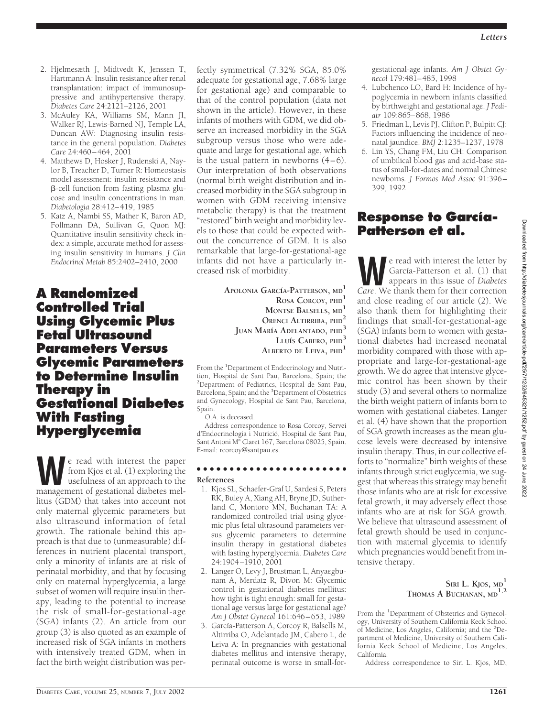- 2. Hjelmesæth J, Midtvedt K, Jenssen T, Hartmann A: Insulin resistance after renal transplantation: impact of immunosuppressive and antihypertensive therapy. *Diabetes Care* 24:2121–2126, 2001
- 3. McAuley KA, Williams SM, Mann JI, Walker RJ, Lewis-Barned NJ, Temple LA, Duncan AW: Diagnosing insulin resistance in the general population. *Diabetes Care* 24:460–464, 2001
- 4. Matthews D, Hosker J, Rudenski A, Naylor B, Treacher D, Turner R: Homeostasis model assessment: insulin resistance and -cell function from fasting plasma glucose and insulin concentrations in man. *Diabetologia* 28:412–419, 1985
- 5. Katz A, Nambi SS, Mather K, Baron AD, Follmann DA, Sullivan G, Quon MJ: Quantitative insulin sensitivity check index: a simple, accurate method for assessing insulin sensitivity in humans. *J Clin Endocrinol Metab* 85:2402–2410, 2000

**A Randomized Controlled Trial Using Glycemic Plus Fetal Ultrasound Parameters Versus Glycemic Parameters to Determine Insulin Therapy in Gestational Diabetes With Fasting Hyperglycemia**

e read with interest the paper<br>from Kjos et al. (1) exploring the<br>usefulness of an approach to the<br>management of gestational diabetes melfrom Kjos et al. (1) exploring the usefulness of an approach to the management of gestational diabetes mellitus (GDM) that takes into account not only maternal glycemic parameters but also ultrasound information of fetal growth. The rationale behind this approach is that due to (unmeasurable) differences in nutrient placental transport, only a minority of infants are at risk of perinatal morbidity, and that by focusing only on maternal hyperglycemia, a large subset of women will require insulin therapy, leading to the potential to increase the risk of small-for-gestational-age (SGA) infants (2). An article from our group (3) is also quoted as an example of increased risk of SGA infants in mothers with intensively treated GDM, when in fact the birth weight distribution was per-

fectly symmetrical (7.32% SGA, 85.0% adequate for gestational age, 7.68% large for gestational age) and comparable to that of the control population (data not shown in the article). However, in these infants of mothers with GDM, we did observe an increased morbidity in the SGA subgroup versus those who were adequate and large for gestational age, which is the usual pattern in newborns  $(4-6)$ . Our interpretation of both observations (normal birth weight distribution and increased morbidity in the SGA subgroup in women with GDM receiving intensive metabolic therapy) is that the treatment "restored" birth weight and morbidity levels to those that could be expected without the concurrence of GDM. It is also remarkable that large-for-gestational-age infants did not have a particularly increased risk of morbidity.

> **APOLONIA GARCı´A-PATTERSON, MD<sup>1</sup> ROSA CORCOY, PHD<sup>1</sup> MONTSE BALSELLS, MD<sup>1</sup> ORENCI ALTIRRIBA, PHD<sup>2</sup> JUAN MARı´A ADELANTADO, PHD<sup>3</sup> LLUı´S CABERO, PHD<sup>3</sup> ALBERTO DE LEIVA, PHD<sup>1</sup>**

From the <sup>1</sup>Department of Endocrinology and Nutrition, Hospital de Sant Pau, Barcelona, Spain; the 2 Department of Pediatrics, Hospital de Sant Pau, Barcelona, Spain; and the <sup>3</sup>Department of Obstetrics and Gynecology, Hospital de Sant Pau, Barcelona, Spain.

O.A. is deceased.

Address correspondence to Rosa Corcoy, Servei d'Endocrinologia i Nutrició, Hospital de Sant Pau, Sant Antoni M<sup>a</sup> Claret 167, Barcelona 08025, Spain. E-mail: rcorcoy@santpau.es.

#### ●●●●●●●●●●●●●●●●●●●●●●● **References**

- 1. Kjos SL, Schaefer-Graf U, Sardesi S, Peters RK, Buley A, Xiang AH, Bryne JD, Sutherland C, Montoro MN, Buchanan TA: A randomized controlled trial using glycemic plus fetal ultrasound parameters versus glycemic parameters to determine insulin therapy in gestational diabetes with fasting hyperglycemia. *Diabetes Care* 24:1904–1910, 2001
- 2. Langer O, Levy J, Brustman L, Anyaegbunam A, Merdatz R, Divon M: Glycemic control in gestational diabetes mellitus: how tight is tight enough: small for gestational age versus large for gestational age? *Am J Obstet Gynecol* 161:646–653, 1989
- 3. García-Patterson A, Corcoy R, Balsells M, Altirriba O, Adelantado JM, Cabero L, de Leiva A: In pregnancies with gestational diabetes mellitus and intensive therapy, perinatal outcome is worse in small-for-

gestational-age infants. *Am J Obstet Gynecol* 179:481–485, 1998

- 4. Lubchenco LO, Bard H: Incidence of hypoglycemia in newborn infants classified by birthweight and gestational age. *J Pediatr* 109:865–868, 1986
- 5. Friedman L, Levis PJ, Clifton P, Bulpitt CJ: Factors influencing the incidence of neonatal jaundice. *BMJ* 2:1235–1237, 1978
- 6. Lin YS, Chang FM, Liu CH: Comparison of umbilical blood gas and acid-base status of small-for-dates and normal Chinese newborns*. J Formos Med Assoc* 91:396– 399, 1992

### **Response to García-Patterson et al.**

**We read with interest the letter by<br>García-Patterson et al. (1) that<br>appears in this issue of Diabetes<br>Care. We thank them for their correction** García-Patterson et al. (1) that appears in this issue of *Diabetes Care*. We thank them for their correction and close reading of our article (2). We also thank them for highlighting their findings that small-for-gestational-age (SGA) infants born to women with gestational diabetes had increased neonatal morbidity compared with those with appropriate and large-for-gestational-age growth. We do agree that intensive glycemic control has been shown by their study (3) and several others to normalize the birth weight pattern of infants born to women with gestational diabetes. Langer et al. (4) have shown that the proportion of SGA growth increases as the mean glucose levels were decreased by intensive insulin therapy. Thus, in our collective efforts to "normalize" birth weights of these infants through strict euglycemia, we suggest that whereas this strategy may benefit those infants who are at risk for excessive fetal growth, it may adversely effect those infants who are at risk for SGA growth. We believe that ultrasound assessment of fetal growth should be used in conjunction with maternal glycemia to identify which pregnancies would benefit from intensive therapy.

### **SIRI L. KJOS, MD<sup>1</sup> THOMAS A BUCHANAN, MD1,2**

From the <sup>1</sup>Department of Obstetrics and Gynecology, University of Southern California Keck School of Medicine, Los Angeles, California; and the <sup>2</sup>Department of Medicine, University of Southern California Keck School of Medicine, Los Angeles, California.

Address correspondence to Siri L. Kjos, MD,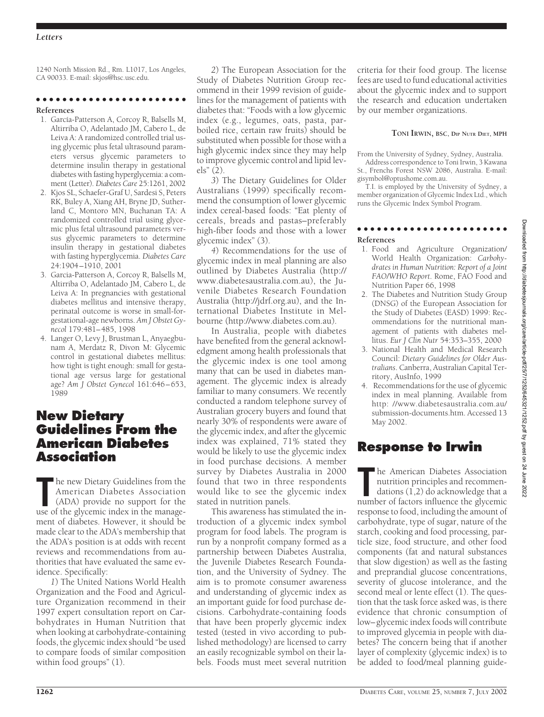1240 North Mission Rd., Rm. L1017, Los Angeles, CA 90033. E-mail: skjos@hsc.usc.edu.

### ●●●●●●●●●●●●●●●●●●●●●●●

### **References**

- 1. García-Patterson A, Corcoy R, Balsells M, Altirriba O, Adelantado JM, Cabero L, de Leiva A: A randomized controlled trial using glycemic plus fetal ultrasound parameters versus glycemic parameters to determine insulin therapy in gestational diabetes with fasting hyperglycemia: a comment (Letter). *Diabetes Care* 25:1261, 2002
- 2. Kjos SL, Schaefer-Graf U, Sardesi S, Peters RK, Buley A, Xiang AH, Bryne JD, Sutherland C, Montoro MN, Buchanan TA: A randomized controlled trial using glycemic plus fetal ultrasound parameters versus glycemic parameters to determine insulin therapy in gestational diabetes with fasting hyperglycemia. *Diabetes Care* 24:1904–1910, 2001
- 3. Garcia-Patterson A, Corcoy R, Balsells M, Altirriba O, Adelantado JM, Cabero L, de Leiva A: In pregnancies with gestational diabetes mellitus and intensive therapy, perinatal outcome is worse in small-forgestational-age newborns. *Am J Obstet Gynecol* 179:481–485, 1998
- 4. Langer O, Levy J, Brustman L, Anyaegbunam A, Merdatz R, Divon M: Glycemic control in gestational diabetes mellitus: how tight is tight enough: small for gestational age versus large for gestational age? *Am J Obstet Gynecol* 161:646–653, 1989

### **New Dietary Guidelines From the American Diabetes Association**

**The new Dietary Guidelines from the American Diabetes Association (ADA) provide no support for the use of the glycemic index in the manage**he new Dietary Guidelines from the American Diabetes Association (ADA) provide no support for the ment of diabetes. However, it should be made clear to the ADA's membership that the ADA's position is at odds with recent reviews and recommendations from authorities that have evaluated the same evidence. Specifically:

*1*) The United Nations World Health Organization and the Food and Agriculture Organization recommend in their 1997 expert consultation report on Carbohydrates in Human Nutrition that when looking at carbohydrate-containing foods, the glycemic index should "be used to compare foods of similar composition within food groups" (1).

*2*) The European Association for the Study of Diabetes Nutrition Group recommend in their 1999 revision of guidelines for the management of patients with diabetes that: "Foods with a low glycemic index (e.g., legumes, oats, pasta, parboiled rice, certain raw fruits) should be substituted when possible for those with a high glycemic index since they may help to improve glycemic control and lipid levels" (2).

*3*) The Dietary Guidelines for Older Australians (1999) specifically recommend the consumption of lower glycemic index cereal-based foods: "Eat plenty of cereals, breads and pastas–preferably high-fiber foods and those with a lower glycemic index" (3).

*4*) Recommendations for the use of glycemic index in meal planning are also outlined by Diabetes Australia (http:// www.diabetesaustralia.com.au), the Juvenile Diabetes Research Foundation Australia (http://jdrf.org.au), and the International Diabetes Institute in Melbourne (http://www.diabetes.com.au).

In Australia, people with diabetes have benefited from the general acknowledgment among health professionals that the glycemic index is one tool among many that can be used in diabetes management. The glycemic index is already familiar to many consumers. We recently conducted a random telephone survey of Australian grocery buyers and found that nearly 30% of respondents were aware of the glycemic index, and after the glycemic index was explained, 71% stated they would be likely to use the glycemic index in food purchase decisions. A member survey by Diabetes Australia in 2000 found that two in three respondents would like to see the glycemic index stated in nutrition panels.

This awareness has stimulated the introduction of a glycemic index symbol program for food labels. The program is run by a nonprofit company formed as a partnership between Diabetes Australia, the Juvenile Diabetes Research Foundation, and the University of Sydney. The aim is to promote consumer awareness and understanding of glycemic index as an important guide for food purchase decisions. Carbohydrate-containing foods that have been properly glycemic index tested (tested in vivo according to published methodology) are licensed to carry an easily recognizable symbol on their labels. Foods must meet several nutrition criteria for their food group. The license fees are used to fund educational activities about the glycemic index and to support the research and education undertaken by our member organizations.

#### **TONI IRWIN, BSC, DIP NUTR DIET, MPH**

From the University of Sydney, Sydney, Australia.

Address correspondence to Toni Irwin, 3 Kawana St., Frenchs Forest NSW 2086, Australia. E-mail: gisymbol@optushome.com.au.

T.I. is employed by the University of Sydney, a member organization of Glycemic Index Ltd., which runs the Glycemic Index Symbol Program.

### ●●●●●●●●●●●●●●●●●●●●●●● **References**

- 1. Food and Agriculture Organization/ World Health Organization: *Carbohydrates in Human Nutrition: Report of a Joint FAO/WHO Report*. Rome, FAO Food and Nutrition Paper 66, 1998
- 2. The Diabetes and Nutrition Study Group (DNSG) of the European Association for the Study of Diabetes (EASD) 1999: Recommendations for the nutritional management of patients with diabetes mellitus. *Eur J Clin Nutr* 54:353–355, 2000
- 3. National Health and Medical Research Council: *Dietary Guidelines for Older Australians*. Canberra, Australian Capital Territory, AusInfo, 1999
- 4. Recommendations for the use of glycemic index in meal planning. Available from http: //www.diabetesaustralia.com.au/ submission-documents.htm. Accessed 13 May 2002.

## **Response to Irwin**

The American Diabetes Association<br>
nutrition principles and recommendations (1,2) do acknowledge that a<br>
number of factors influence the glycemic he American Diabetes Association nutrition principles and recommendations (1,2) do acknowledge that a response to food, including the amount of carbohydrate, type of sugar, nature of the starch, cooking and food processing, particle size, food structure, and other food components (fat and natural substances that slow digestion) as well as the fasting and preprandial glucose concentrations, severity of glucose intolerance, and the second meal or lente effect (1). The question that the task force asked was, is there evidence that chronic consumption of low–glycemic index foods will contribute to improved glycemia in people with diabetes? The concern being that if another layer of complexity (glycemic index) is to be added to food/meal planning guide-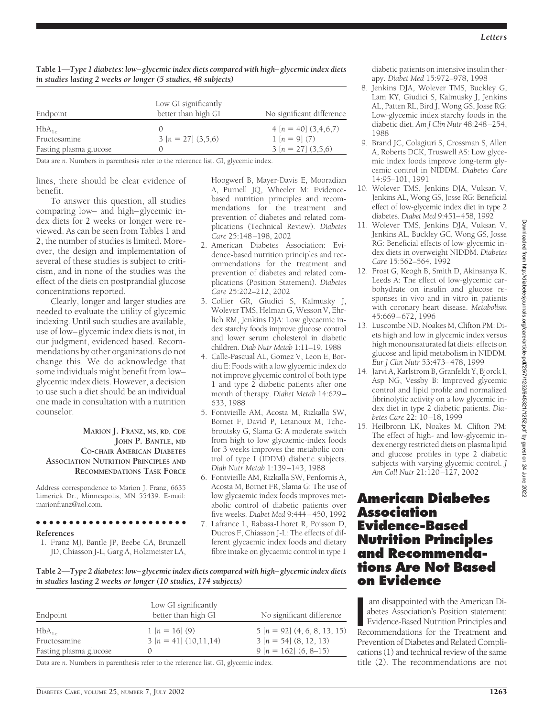| Table 1—Type 1 diabetes: low-glycemic index diets compared with high-glycemic index diets |
|-------------------------------------------------------------------------------------------|
| in studies lasting 2 weeks or longer (5 studies, 48 subjects)                             |

| Endpoint               | Low GI significantly<br>better than high GI | No significant difference |
|------------------------|---------------------------------------------|---------------------------|
| $HbA_{1c}$             |                                             | $4[n = 40](3,4,6,7)$      |
| Fructosamine           | $3 [n = 27] (3.5.6)$                        | $1 [n = 9] (7)$           |
| Fasting plasma glucose |                                             | $3 [n = 27] (3.5.6)$      |

Data are *n*. Numbers in parenthesis refer to the reference list. GI, glycemic index.

lines, there should be clear evidence of benefit.

To answer this question, all studies comparing low– and high–glycemic index diets for 2 weeks or longer were reviewed. As can be seen from Tables 1 and 2, the number of studies is limited. Moreover, the design and implementation of several of these studies is subject to criticism, and in none of the studies was the effect of the diets on postprandial glucose concentrations reported.

Clearly, longer and larger studies are needed to evaluate the utility of glycemic indexing. Until such studies are available, use of low–glycemic index diets is not, in our judgment, evidenced based. Recommendations by other organizations do not change this. We do acknowledge that some individuals might benefit from low– glycemic index diets. However, a decision to use such a diet should be an individual one made in consultation with a nutrition counselor.

#### **MARION J. FRANZ, MS, RD, CDE JOHN P. BANTLE, MD CO-CHAIR AMERICAN DIABETES ASSOCIATION NUTRITION PRINCIPLES AND RECOMMENDATIONS TASK FORCE**

Address correspondence to Marion J. Franz, 6635 Limerick Dr., Minneapolis, MN 55439. E-mail: marionfranz@aol.com.

#### ●●●●●●●●●●●●●●●●●●●●●●●

#### **References**

1. Franz MJ, Bantle JP, Beebe CA, Brunzell JD, Chiasson J-L, Garg A, Holzmeister LA, Hoogwerf B, Mayer-Davis E, Mooradian A, Purnell JQ, Wheeler M: Evidencebased nutrition principles and recommendations for the treatment and prevention of diabetes and related complications (Technical Review). *Diabetes Care* 25:148–198, 2002

- 2. American Diabetes Association: Evidence-based nutrition principles and recommendations for the treatment and prevention of diabetes and related complications (Position Statement). *Diabetes Care* 25:202–212, 2002
- 3. Collier GR, Giudici S, Kalmusky J, Wolever TMS, Helman G, Wesson V, Ehrlich RM, Jenkins DJA: Low glycaemic index starchy foods improve glucose control and lower serum cholesterol in diabetic children. *Diab Nutr Metab* 1:11–19, 1988
- 4. Calle-Pascual AL, Gomez V, Leon E, Bordiu E: Foods with a low glycemic index do not improve glycemic control of both type 1 and type 2 diabetic patients after one month of therapy. *Diabet Metab* 14:629– 633, 1988
- 5. Fontvieille AM, Acosta M, Rizkalla SW, Bornet F, David P, Letanoux M, Tchobroutsky G, Slama G: A moderate switch from high to low glycaemic-index foods for 3 weeks improves the metabolic control of type I (IDDM) diabetic subjects. *Diab Nutr Metab* 1:139–143, 1988
- 6. Fontvieille AM, Rizkalla SW, Penfornis A, Acosta M, Bornet FR, Slama G: The use of low glycaemic index foods improves metabolic control of diabetic patients over five weeks. *Diabet Med* 9:444–450, 1992
- 7. Lafrance L, Rabasa-Lhoret R, Poisson D, Ducros F, Chiasson J-L: The effects of different glycaemic index foods and dietary fibre intake on glycaemic control in type 1

**Table 2—***Type 2 diabetes: low–glycemic index diets compared with high–glycemic index diets in studies lasting 2 weeks or longer (10 studies, 174 subjects)*

| Endpoint                   | Low GI significantly<br>better than high GI | No significant difference                                  |
|----------------------------|---------------------------------------------|------------------------------------------------------------|
| $HbA_{1c}$<br>Fructosamine | $1 [n = 16] (9)$<br>$3 [n = 41] (10,11,14)$ | $5 [n = 92] (4, 6, 8, 13, 15)$<br>$3 [n = 54] (8, 12, 13)$ |
| Fasting plasma glucose     |                                             | $9 [n = 162] (6, 8-15)$                                    |

Data are *n*. Numbers in parenthesis refer to the reference list. GI, glycemic index.

diabetic patients on intensive insulin therapy. *Diabet Med* 15:972–978, 1998

- 8. Jenkins DJA, Wolever TMS, Buckley G, Lam KY, Giudici S, Kalmusky J, Jenkins AL, Patten RL, Bird J, Wong GS, Josse RG: Low-glycemic index starchy foods in the diabetic diet. *Am J Clin Nutr* 48:248–254, 1988
- 9. Brand JC, Colagiuri S, Crossman S, Allen A, Roberts DCK, Truswell AS: Low glycemic index foods improve long-term glycemic control in NIDDM. *Diabetes Care* 14:95–101, 1991
- 10. Wolever TMS, Jenkins DJA, Vuksan V, Jenkins AL, Wong GS, Josse RG: Beneficial effect of low-glycemic index diet in type 2 diabetes. *Diabet Med* 9:451–458, 1992
- 11. Wolever TMS, Jenkins DJA, Vuksan V, Jenkins AL, Buckley GC, Wong GS, Josse RG: Beneficial effects of low-glycemic index diets in overweight NIDDM. *Diabetes Care* 15:562–564, 1992
- 12. Frost G, Keogh B, Smith D, Akinsanya K, Leeds A: The effect of low-glycemic carbohydrate on insulin and glucose responses in vivo and in vitro in patients with coronary heart disease. *Metabolism* 45:669–672, 1996
- 13. Luscombe ND, Noakes M, Clifton PM: Diets high and low in glycemic index versus high monounsaturated fat diets: effects on glucose and lipid metabolism in NIDDM. *Eur J Clin Nutr* 53:473–478, 1999
- 14. Jarvi A, Karlstrom B, Granfeldt Y, Bjorck I, Asp NG, Vessby B: Improved glycemic control and lipid profile and normalized fibrinolytic activity on a low glycemic index diet in type 2 diabetic patients. *Diabetes Care* 22: 10–18, 1999
- 15. Heilbronn LK, Noakes M, Clifton PM: The effect of high- and low-glycemic index energy restricted diets on plasma lipid and glucose profiles in type 2 diabetic subjects with varying glycemic control. *J Am Coll Nutr* 21:120–127, 2002

### **American Diabetes Association Evidence-Based Nutrition Principles and Recommendations Are Not Based on Evidence**

am disappointed with the American Diabetes Association's Position statement:<br>
Evidence-Based Nutrition Principles and<br>
Recommendations for the Treatment and am disappointed with the American Diabetes Association's Position statement: Evidence-Based Nutrition Principles and Prevention of Diabetes and Related Complications (1) and technical review of the same title (2). The recommendations are not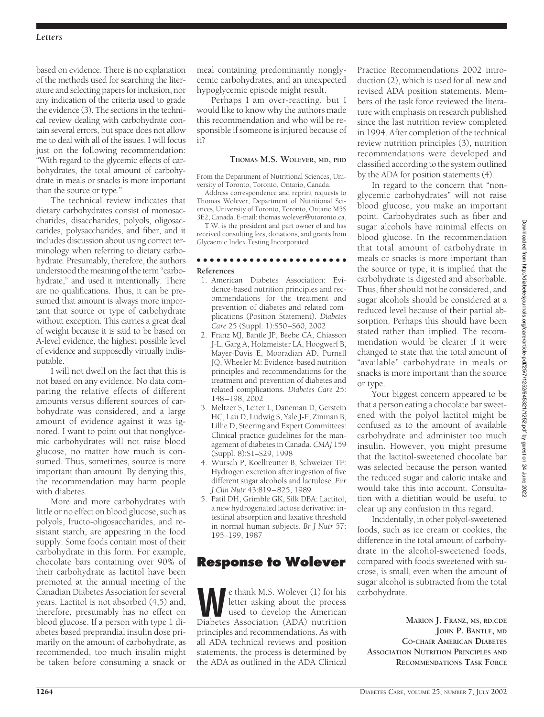based on evidence. There is no explanation of the methods used for searching the literature and selecting papers for inclusion, nor any indication of the criteria used to grade the evidence (3). The sections in the technical review dealing with carbohydrate contain several errors, but space does not allow me to deal with all of the issues. I will focus just on the following recommendation: "With regard to the glycemic effects of carbohydrates, the total amount of carbohydrate in meals or snacks is more important than the source or type."

The technical review indicates that dietary carbohydrates consist of monosaccharides, disaccharides, polyols, oligosaccarides, polysaccharides, and fiber, and it includes discussion about using correct terminology when referring to dietary carbohydrate. Presumably, therefore, the authors understood the meaning of the term"carbohydrate," and used it intentionally. There are no qualifications. Thus, it can be presumed that amount is always more important that source or type of carbohydrate without exception. This carries a great deal of weight because it is said to be based on A-level evidence, the highest possible level of evidence and supposedly virtually indisputable.

I will not dwell on the fact that this is not based on any evidence. No data comparing the relative effects of different amounts versus different sources of carbohydrate was considered, and a large amount of evidence against it was ignored. I want to point out that nonglycemic carbohydrates will not raise blood glucose, no matter how much is consumed. Thus, sometimes, source is more important than amount. By denying this, the recommendation may harm people with diabetes.

More and more carbohydrates with little or no effect on blood glucose, such as polyols, fructo-oligosaccharides, and resistant starch, are appearing in the food supply. Some foods contain most of their carbohydrate in this form. For example, chocolate bars containing over 90% of their carbohydrate as lactitol have been promoted at the annual meeting of the Canadian Diabetes Association for several years. Lactitol is not absorbed (4,5) and, therefore, presumably has no effect on blood glucose. If a person with type 1 diabetes based preprandial insulin dose primarily on the amount of carbohydrate, as recommended, too much insulin might be taken before consuming a snack or

meal containing predominantly nonglycemic carbohydrates, and an unexpected hypoglycemic episode might result.

Perhaps I am over-reacting, but I would like to know why the authors made this recommendation and who will be responsible if someone is injured because of it?

### **THOMAS M.S. WOLEVER, MD, PHD**

From the Department of Nutritional Sciences, University of Toronto, Toronto, Ontario, Canada.

Address correspondence and reprint requests to Thomas Wolever, Department of Nutritional Sciences, University of Toronto, Toronto, Ontario M5S 3E2, Canada. E-mail: thomas.wolever@utoronto.ca.

T.W. is the president and part owner of and has received consulting fees, donations, and grants from Glycaemic Index Testing Incorporated.

# ●●●●●●●●●●●●●●●●●●●●●●●

#### **References**

- 1. American Diabetes Association: Evidence-based nutrition principles and recommendations for the treatment and prevention of diabetes and related complications (Position Statement). *Diabetes Care* 25 (Suppl. 1):S50–S60, 2002
- 2. Franz MJ, Bantle JP, Beebe CA, Chiasson J-L, Garg A, Holzmeister LA, Hoogwerf B, Mayer-Davis E, Mooradian AD, Purnell JQ, Wheeler M: Evidence-based nutrition principles and recommendations for the treatment and prevention of diabetes and related complications. *Diabetes Care* 25: 148–198, 2002
- 3. Meltzer S, Leiter L, Daneman D, Gerstein HC, Lau D, Ludwig S, Yale J-F, Zinman B, Lillie D, Steering and Expert Committees: Clinical practice guidelines for the management of diabetes in Canada. *CMAJ* 159 (Suppl. 8):S1–S29, 1998
- 4. Wursch P, Koellreutter B, Schweizer TF: Hydrogen excretion after ingestion of five different sugar alcohols and lactulose. *Eur J Clin Nutr* 43:819–825, 1989
- 5. Patil DH, Grimble GK, Silk DBA: Lactitol, a new hydrogenated lactose derivative: intestinal absorption and laxative threshold in normal human subjects. *Br J Nutr* 57: 195–199, 1987

### **Response to Wolever**

**We thank M.S. Wolever (1) for his letter asking about the process used to develop the American Diabetes Association (ADA) nutrition** letter asking about the process used to develop the American Diabetes Association (ADA) nutrition principles and recommendations. As with all ADA technical reviews and position statements, the process is determined by the ADA as outlined in the ADA Clinical

Practice Recommendations 2002 introduction (2), which is used for all new and revised ADA position statements. Members of the task force reviewed the literature with emphasis on research published since the last nutrition review completed in 1994. After completion of the technical review nutrition principles (3), nutrition recommendations were developed and classified according to the system outlined by the ADA for position statements (4).

In regard to the concern that "nonglycemic carbohydrates" will not raise blood glucose, you make an important point. Carbohydrates such as fiber and sugar alcohols have minimal effects on blood glucose. In the recommendation that total amount of carbohydrate in meals or snacks is more important than the source or type, it is implied that the carbohydrate is digested and absorbable. Thus, fiber should not be considered, and sugar alcohols should be considered at a reduced level because of their partial absorption. Perhaps this should have been stated rather than implied. The recommendation would be clearer if it were changed to state that the total amount of "available" carbohydrate in meals or snacks is more important than the source or type.

Your biggest concern appeared to be that a person eating a chocolate bar sweetened with the polyol lactitol might be confused as to the amount of available carbohydrate and administer too much insulin. However, you might presume that the lactitol-sweetened chocolate bar was selected because the person wanted the reduced sugar and caloric intake and would take this into account. Consultation with a dietitian would be useful to clear up any confusion in this regard.

Incidentally, in other polyol-sweetened foods, such as ice cream or cookies, the difference in the total amount of carbohydrate in the alcohol-sweetened foods, compared with foods sweetened with sucrose, is small, even when the amount of sugar alcohol is subtracted from the total carbohydrate.

**MARION J. FRANZ, MS, RD,CDE JOHN P. BANTLE, MD CO-CHAIR AMERICAN DIABETES ASSOCIATION NUTRITION PRINCIPLES AND RECOMMENDATIONS TASK FORCE**